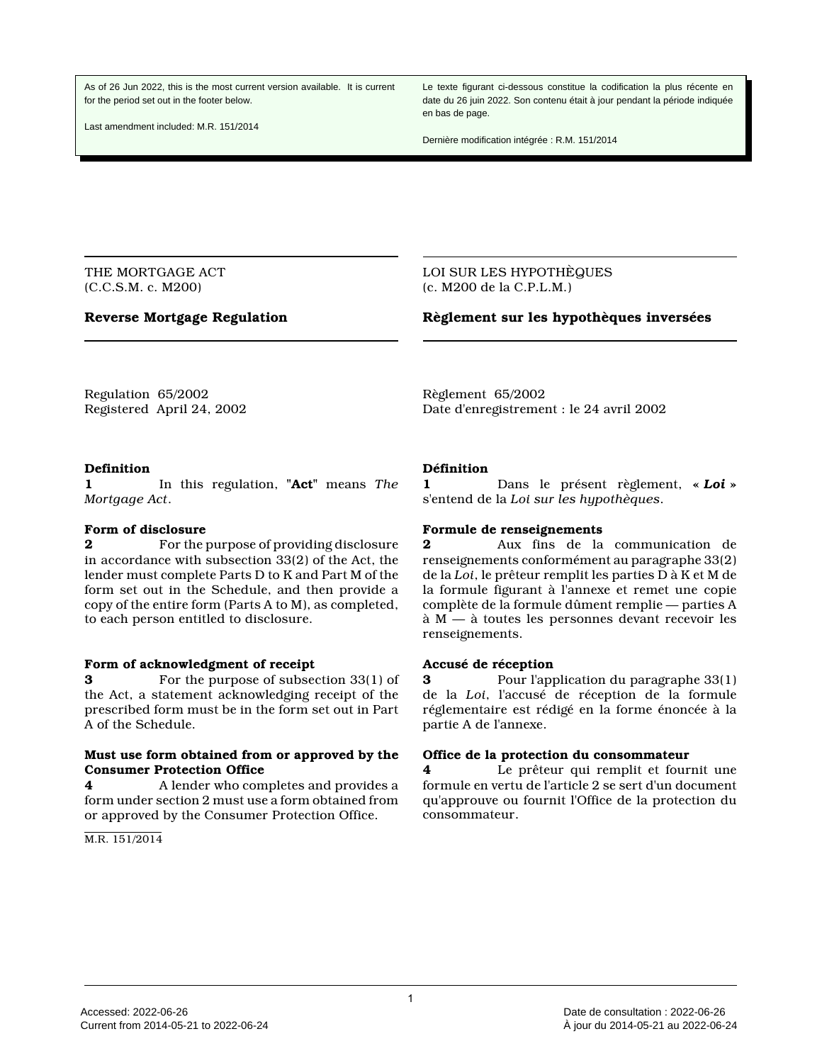As of 26 Jun 2022, this is the most current version available. It is current for the period set out in the footer below.

Last amendment included: M.R. 151/2014

Le texte figurant ci-dessous constitue la codification la plus récente en date du 26 juin 2022. Son contenu était à jour pendant la période indiquée en bas de page.

Dernière modification intégrée : R.M. 151/2014

THE MORTGAGE ACT (C.C.S.M. c. M200)

### **Reverse Mortgage Regulation**

LOI SUR LES HYPOTHÈQUES (c. M200 de la C.P.L.M.)

### **Règlement sur les hypothèques inversées**

Regulation 65/2002 Registered April 24, 2002 Règlement 65/2002 Date d'enregistrement : le 24 avril 2002

### **Definition**

**1** In this regulation, **"Act"** means *The Mortgage Act*.

### **Form of disclosure**

**2** For the purpose of providing disclosure in accordance with subsection 33(2) of the Act, the lender must complete Parts D to K and Part M of the form set out in the Schedule, and then provide a copy of the entire form (Parts A to M), as completed, to each person entitled to disclosure.

### **Form of acknowledgment of receipt**

**3** For the purpose of subsection 33(1) of the Act, a statement acknowledging receipt of the prescribed form must be in the form set out in Part A of the Schedule.

### **Must use form obtained from or approved by the Consumer Protection Office**

**4** A lender who completes and provides a form under section 2 must use a form obtained from or approved by the Consumer Protection Office.

M.R. 151/2014

**Définition**

**1** Dans le présent règlement, **«** *Loi* **»** s'entend de la *Loi sur les hypothèques*.

### **Formule de renseignements**

**2** Aux fins de la communication de renseignements conformément au paragraphe 33(2) de la *Loi*, le prêteur remplit les parties D à K et M de la formule figurant à l'annexe et remet une copie complète de la formule dûment remplie — parties A à M — à toutes les personnes devant recevoir les renseignements.

### **Accusé de réception**

**3** Pour l'application du paragraphe 33(1) de la *Loi*, l'accusé de réception de la formule réglementaire est rédigé en la forme énoncée à la partie A de l'annexe.

### **Office de la protection du consommateur**

**4** Le prêteur qui remplit et fournit une formule en vertu de l'article 2 se sert d'un document qu'approuve ou fournit l'Office de la protection du consommateur.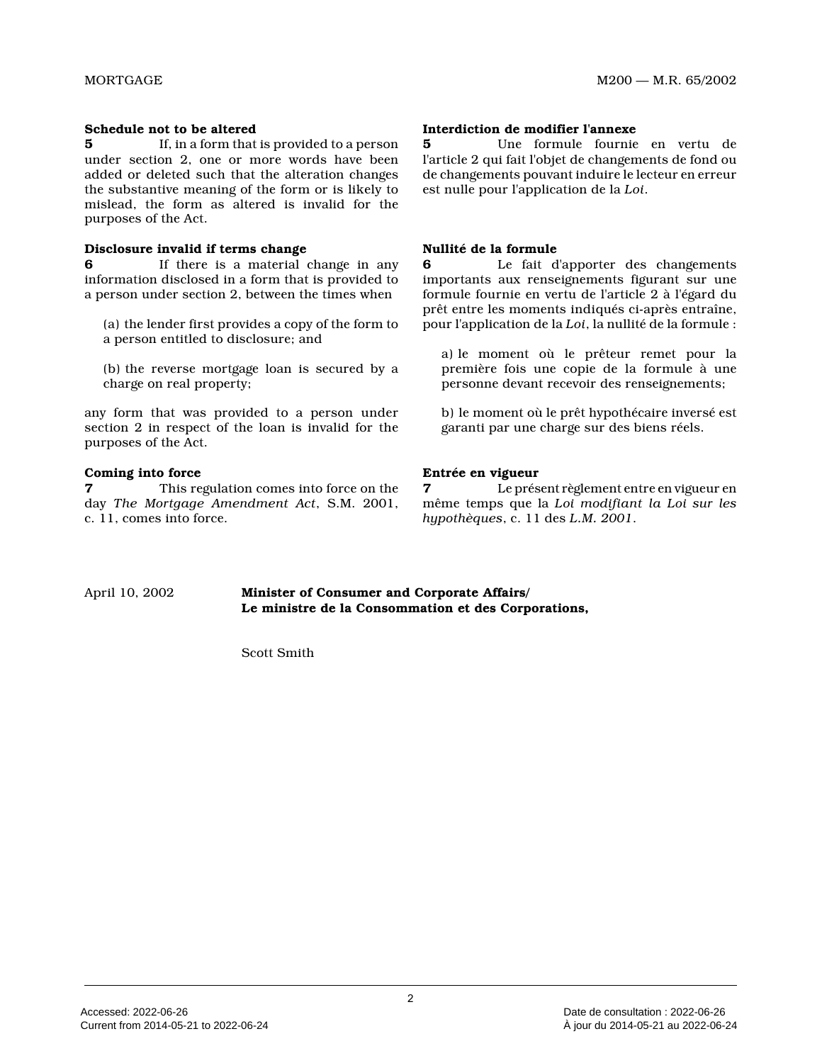### **Schedule not to be altered**

**5** If, in a form that is provided to a person under section 2, one or more words have been added or deleted such that the alteration changes the substantive meaning of the form or is likely to mislead, the form as altered is invalid for the purposes of the Act.

### **Disclosure invalid if terms change**

**6** If there is a material change in any information disclosed in a form that is provided to a person under section 2, between the times when

(a) the lender first provides a copy of the form to a person entitled to disclosure; and

(b) the reverse mortgage loan is secured by a charge on real property;

any form that was provided to a person under section 2 in respect of the loan is invalid for the purposes of the Act.

# **Coming into force**

**7** This regulation comes into force on the day *The Mortgage Amendment Act*, S.M. 2001, c. 11, comes into force.

### **Interdiction de modifier l'annexe**

**5** Une formule fournie en vertu de l'article 2 qui fait l'objet de changements de fond ou de changements pouvant induire le lecteur en erreur est nulle pour l'application de la *Loi* .

### **Nullité de la formule**

**6** Le fait d'apporter des changements importants aux renseignements figurant sur une formule fournie en vertu de l'article 2 à l'égard d u prêt entre les moments indiqués ci-après entraîne, pour l'application de la *Loi*, la nullité de la formule :

a) le moment où le prêteur remet pour la première fois une copie de la formule à une personne devant recevoir des renseignements;

b) le moment où le prêt hypothécaire inversé est garanti par une charge sur des biens réels.

# **Entrée en vigueur**

**7** Le présent règlement entre en vigueur en même temps que la *Loi modifiant la Loi sur les hypothèques*, c. 11 des *L.M. 2001* .

April 10, 2002 **Minister of Consumer and Corporate Affairs/ Le ministre de la Consommation et des Corporations,**

Scott Smith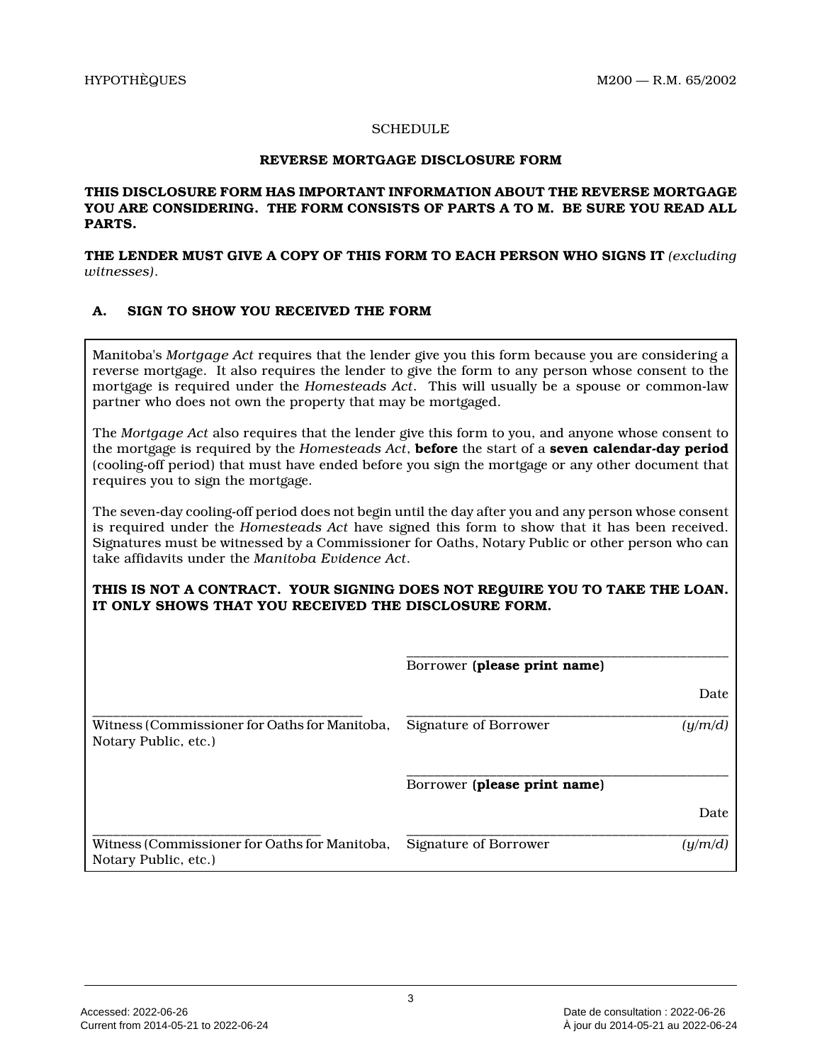# **SCHEDULE**

### **REVERSE MORTGAGE DISCLOSURE FORM**

# **THIS DISCLOSURE FORM HAS IMPORTANT INFORMATION ABOUT THE REVERSE MORTGAGE YOU ARE CONSIDERING. THE FORM CONSISTS OF PARTS A TO M. BE SURE YOU READ ALL PARTS.**

**THE LENDER MUST GIVE A COPY OF THIS FORM TO EACH PERSON WHO SIGNS IT** *(excluding witnesses)* .

# **A. SIGN TO SHOW YOU RECEIVED THE FORM**

Manitoba's *Mortgage Act* requires that the lender give you this form because you are considering a reverse mortgage. It also requires the lender to give the form to any person whose consent to the mortgage is required under the *Homesteads Act*. This will usually be a spouse or common-law partner who does not own the property that may be mortgaged.

The *Mortgage Act* also requires that the lender give this form to you, and anyone whose consent to the mortgage is required by the *Homesteads Act*, **before** the start of a **seven calendar-day period** (cooling-off period) that must have ended before you sign the mortgage or any other document that requires you to sign the mortgage.

The seven-day cooling-off period does not begin until the day after you and any person whose consent is required under the *Homesteads Act* have signed this form to show that it has been received. Signatures must be witnessed by a Commissioner for Oaths, Notary Public or other person who can take affidavits under the *Manitoba Evidence Act* .

# **THIS IS NOT A CONTRACT. YOUR SIGNING DOES NOT REQUIRE YOU TO TAKE THE LOAN. IT ONLY SHOWS THAT YOU RECEIVED THE DISCLOSURE FORM .**

|                                                                       | Borrower (please print name) |         |
|-----------------------------------------------------------------------|------------------------------|---------|
|                                                                       |                              | Date    |
| Witness (Commissioner for Oaths for Manitoba,<br>Notary Public, etc.) | Signature of Borrower        | (u/m/d) |
|                                                                       | Borrower (please print name) |         |
|                                                                       |                              | Date    |
| Witness (Commissioner for Oaths for Manitoba,<br>Notary Public, etc.) | Signature of Borrower        | (u/m/d  |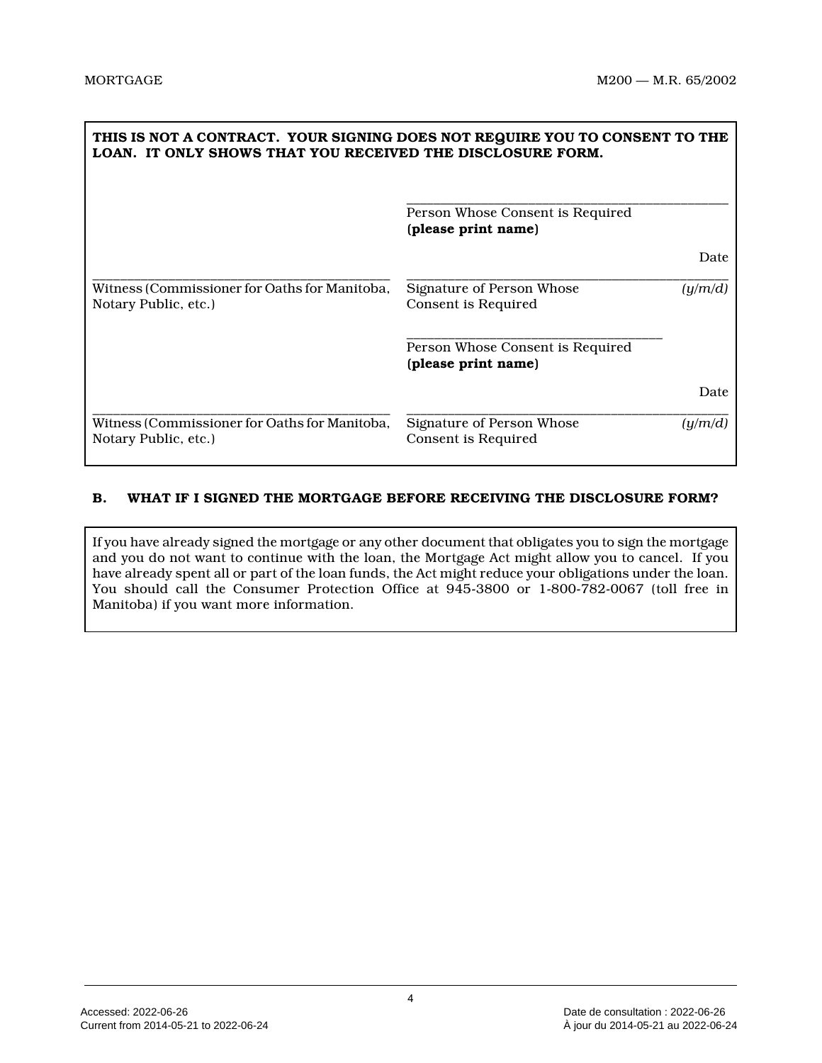| THIS IS NOT A CONTRACT. YOUR SIGNING DOES NOT REQUIRE YOU TO CONSENT TO THE<br>LOAN. IT ONLY SHOWS THAT YOU RECEIVED THE DISCLOSURE FORM. |                                                         |         |
|-------------------------------------------------------------------------------------------------------------------------------------------|---------------------------------------------------------|---------|
|                                                                                                                                           | Person Whose Consent is Required<br>(please print name) |         |
|                                                                                                                                           |                                                         | Date    |
| Witness (Commissioner for Oaths for Manitoba,<br>Notary Public, etc.)                                                                     | Signature of Person Whose<br>Consent is Required        | (y/m/d) |
|                                                                                                                                           | Person Whose Consent is Required<br>(please print name) |         |
|                                                                                                                                           |                                                         | Date    |
| Witness (Commissioner for Oaths for Manitoba,<br>Notary Public, etc.)                                                                     | Signature of Person Whose<br>Consent is Required        | (y/m/d) |

# **B. WHAT IF I SIGNED THE MORTGAGE BEFORE RECEIVING THE DISCLOSURE FORM?**

If you have already signed the mortgage or any other document that obligates you to sign the mortgage and you do not want to continue with the loan, the Mortgage Act might allow you to cancel. If you have already spent all or part of the loan funds, the Act might reduce your obligations under the loan. You should call the Consumer Protection Office at 945-3800 or 1-800-782-0067 (toll free in Manitoba) if you want more information.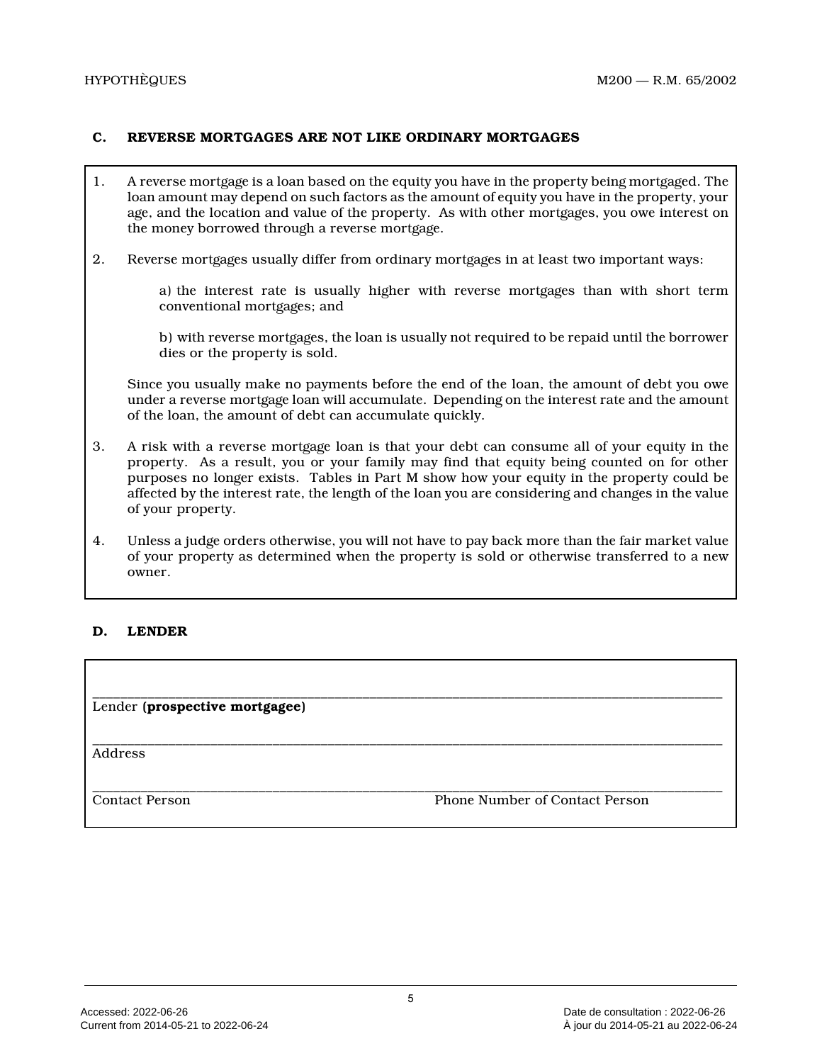# **C. REVERSE MORTGAGES ARE NOT LIKE ORDINARY MORTGAGES**

- 1. A reverse mortgage is a loan based on the equity you have in the property being mortgaged. The loan amount may depend on such factors as the amount of equity you have in the property, your age, and the location and value of the property. As with other mortgages, you owe interest on the money borrowed through a reverse mortgage.
- 2. Reverse mortgages usually differ from ordinary mortgages in at least two important ways:

a) the interest rate is usually higher with reverse mortgages than with short term conventional mortgages; and

b) with reverse mortgages, the loan is usually not required to be repaid until the borrower dies or the property is sold.

Since you usually make no payments before the end of the loan, the amount of debt you owe under a reverse mortgage loan will accumulate. Depending on the interest rate and the amount of the loan, the amount of debt can accumulate quickly.

- 3. A risk with a reverse mortgage loan is that your debt can consume all of your equity in the property. As a result, you or your family may find that equity being counted on for other purposes no longer exists. Tables in Part M show how your equity in the property could be affected by the interest rate, the length of the loan you are considering and changes in the value of your property.
- 4. Unless a judge orders otherwise, you will not have to pay back more than the fair market value of your property as determined when the property is sold or otherwise transferred to a new owner.

\_\_\_\_\_\_\_\_\_\_\_\_\_\_\_\_\_\_\_\_\_\_\_\_\_\_\_\_\_\_\_\_\_\_\_\_\_\_\_\_\_\_\_\_\_\_\_\_\_\_\_\_\_\_\_\_\_\_\_\_\_\_\_\_\_\_\_\_\_\_\_\_\_\_\_\_\_\_\_\_\_\_\_\_\_\_\_\_\_\_\_

# **D. LENDER**

\_\_\_\_\_\_\_\_\_\_\_\_\_\_\_\_\_\_\_\_\_\_\_\_\_\_\_\_\_\_\_\_\_\_\_\_\_\_\_\_\_\_\_\_\_\_\_\_\_\_\_\_\_\_\_\_\_\_\_\_\_\_\_\_\_\_\_\_\_\_\_\_\_\_\_\_\_\_\_\_\_\_\_\_\_\_\_\_\_\_\_ Lender **(prospective mortgagee)**

**Address** 

\_\_\_\_\_\_\_\_\_\_\_\_\_\_\_\_\_\_\_\_\_\_\_\_\_\_\_\_\_\_\_\_\_\_\_\_\_\_\_\_\_\_\_\_\_\_\_\_\_\_\_\_\_\_\_\_\_\_\_\_\_\_\_\_\_\_\_\_\_\_\_\_\_\_\_\_\_\_\_\_\_\_\_\_\_\_\_\_\_\_\_ Contact Person Phone Number of Contact Person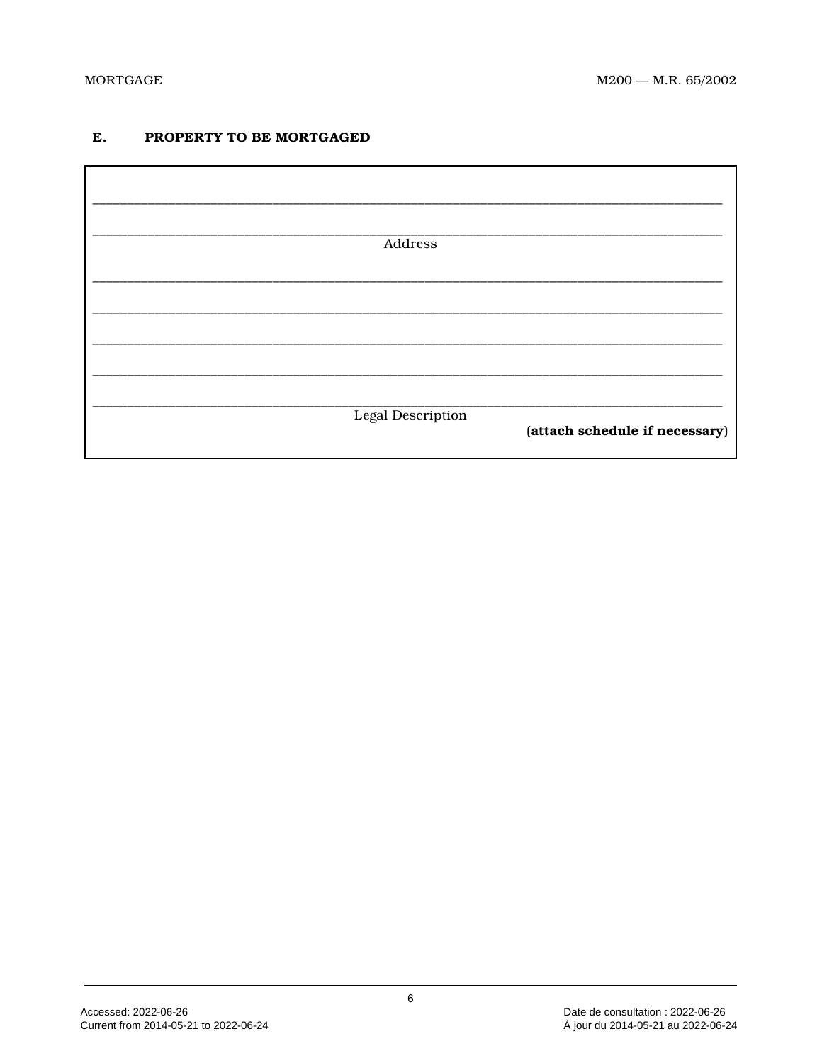### E. PROPERTY TO BE MORTGAGED

| Address           |                                |
|-------------------|--------------------------------|
|                   |                                |
|                   |                                |
|                   |                                |
|                   |                                |
| Legal Description |                                |
|                   | (attach schedule if necessary) |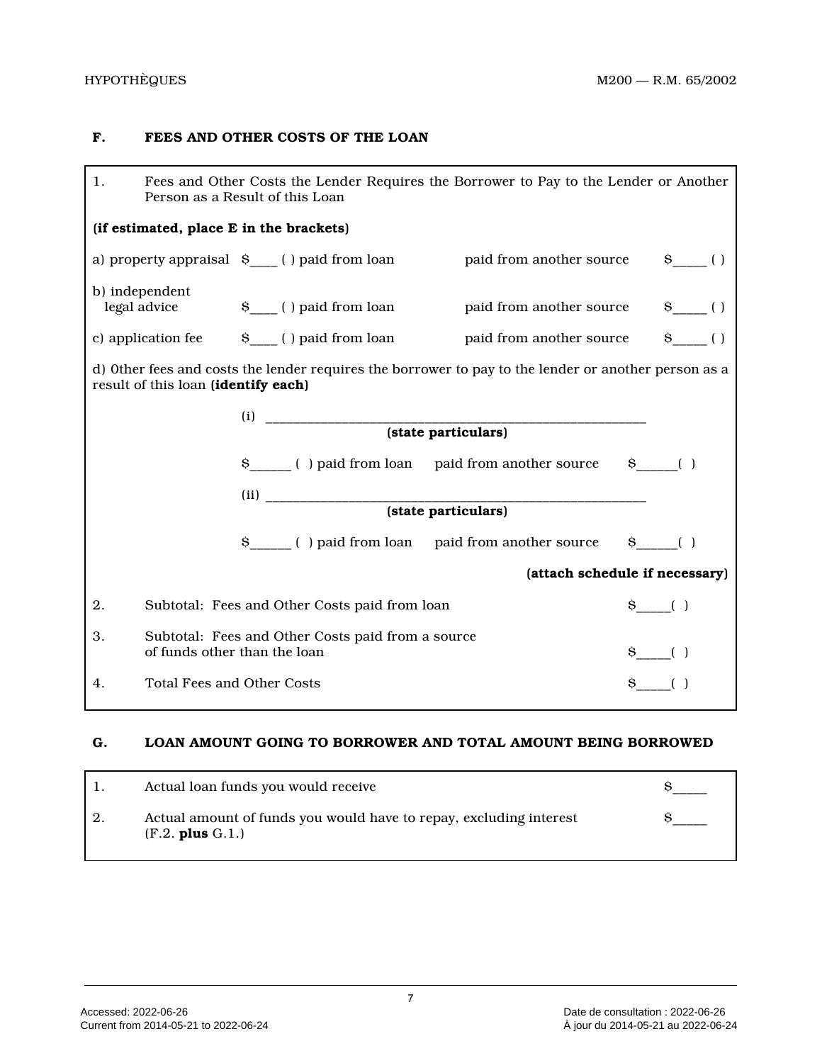# **F. FEES AND OTHER COSTS OF THE LOAN**

| 1. | Fees and Other Costs the Lender Requires the Borrower to Pay to the Lender or Another<br>Person as a Result of this Loan |                                                                                   |                                                                                                      |                                |  |
|----|--------------------------------------------------------------------------------------------------------------------------|-----------------------------------------------------------------------------------|------------------------------------------------------------------------------------------------------|--------------------------------|--|
|    |                                                                                                                          | (if estimated, place E in the brackets)                                           |                                                                                                      |                                |  |
|    |                                                                                                                          |                                                                                   | a) property appraisal $S_{\text{max}}$ ( ) paid from loan paid from another source                   | $\S$ ()                        |  |
|    | b) independent<br>legal advice                                                                                           |                                                                                   | \$ ____ () paid from loan paid from another source                                                   | $\S$ ()                        |  |
|    |                                                                                                                          |                                                                                   | c) application fee \$ () paid from loan baid from another source                                     | $\S$ ()                        |  |
|    | result of this loan (identify each)                                                                                      |                                                                                   | d) Other fees and costs the lender requires the borrower to pay to the lender or another person as a |                                |  |
|    |                                                                                                                          |                                                                                   |                                                                                                      |                                |  |
|    |                                                                                                                          |                                                                                   |                                                                                                      |                                |  |
|    |                                                                                                                          |                                                                                   | \$ _____ () paid from loan paid from another source \$ ____ ()                                       |                                |  |
|    |                                                                                                                          |                                                                                   |                                                                                                      |                                |  |
|    |                                                                                                                          |                                                                                   |                                                                                                      |                                |  |
|    |                                                                                                                          |                                                                                   | \$ _____ () paid from loan paid from another source \$ ____ ()                                       |                                |  |
|    |                                                                                                                          |                                                                                   |                                                                                                      | (attach schedule if necessary) |  |
| 2. |                                                                                                                          | Subtotal: Fees and Other Costs paid from loan                                     |                                                                                                      | $\S$ ()                        |  |
| 3. |                                                                                                                          | Subtotal: Fees and Other Costs paid from a source<br>of funds other than the loan |                                                                                                      | $S_{---}( )$                   |  |
| 4. |                                                                                                                          | $\S$ ()<br><b>Total Fees and Other Costs</b>                                      |                                                                                                      |                                |  |

# **G. LOAN AMOUNT GOING TO BORROWER AND TOTAL AMOUNT BEING BORROWED**

|    | Actual loan funds you would receive                                                        |  |
|----|--------------------------------------------------------------------------------------------|--|
| 2. | Actual amount of funds you would have to repay, excluding interest<br>$(F.2.$ plus $G.1.)$ |  |

7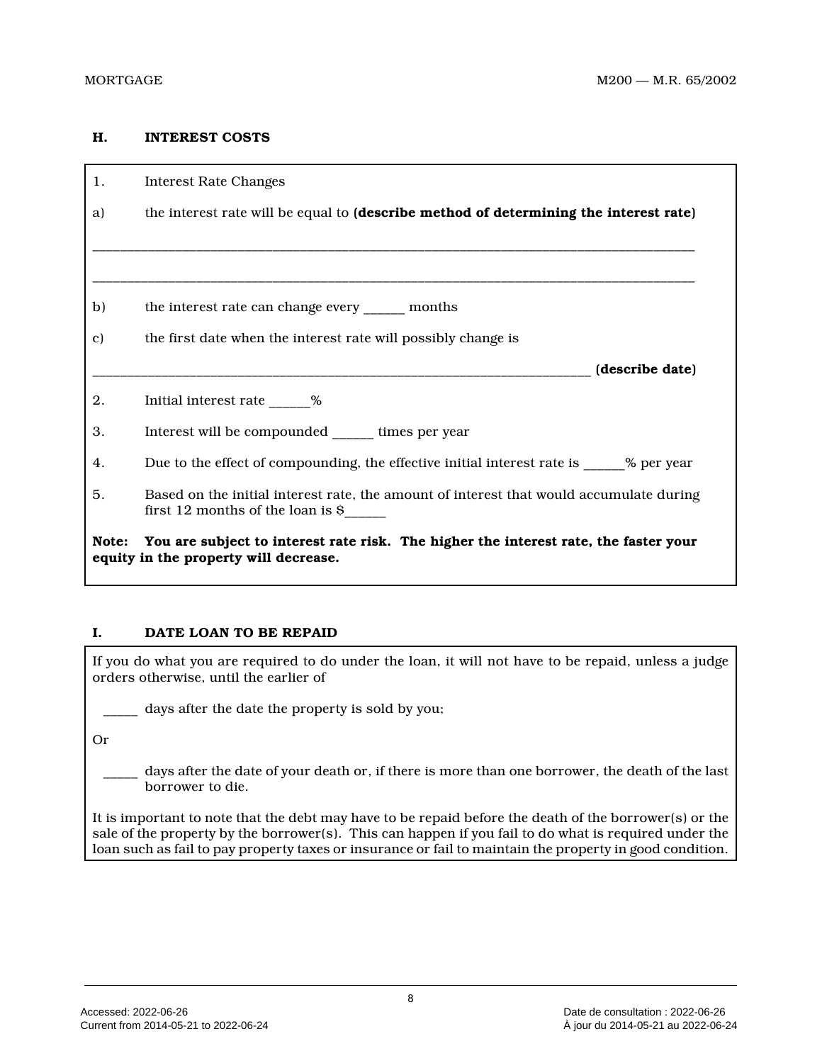# **H. INTEREST COSTS**

| 1.    | <b>Interest Rate Changes</b>                                                                                                            |
|-------|-----------------------------------------------------------------------------------------------------------------------------------------|
| a)    | the interest rate will be equal to (describe method of determining the interest rate)                                                   |
|       |                                                                                                                                         |
|       |                                                                                                                                         |
| b)    | the interest rate can change every _______ months                                                                                       |
| c)    | the first date when the interest rate will possibly change is                                                                           |
|       | (describe date)                                                                                                                         |
| 2.    | Initial interest rate 10%                                                                                                               |
| 3.    | Interest will be compounded _______ times per year                                                                                      |
| 4.    | Due to the effect of compounding, the effective initial interest rate is _______ % per year                                             |
| 5.    | Based on the initial interest rate, the amount of interest that would accumulate during<br>first 12 months of the loan is $\frac{1}{2}$ |
| Note: | You are subject to interest rate risk. The higher the interest rate, the faster your<br>equity in the property will decrease.           |

# **I. DATE LOAN TO BE REPAID**

If you do what you are required to do under the loan, it will not have to be repaid, unless a judge orders otherwise, until the earlier of

days after the date the property is sold by you;

Or

days after the date of your death or, if there is more than one borrower, the death of the last borrower to die.

It is important to note that the debt may have to be repaid before the death of the borrower(s) or the sale of the property by the borrower(s). This can happen if you fail to do what is required under the loan such as fail to pay property taxes or insurance or fail to maintain the property in good condition.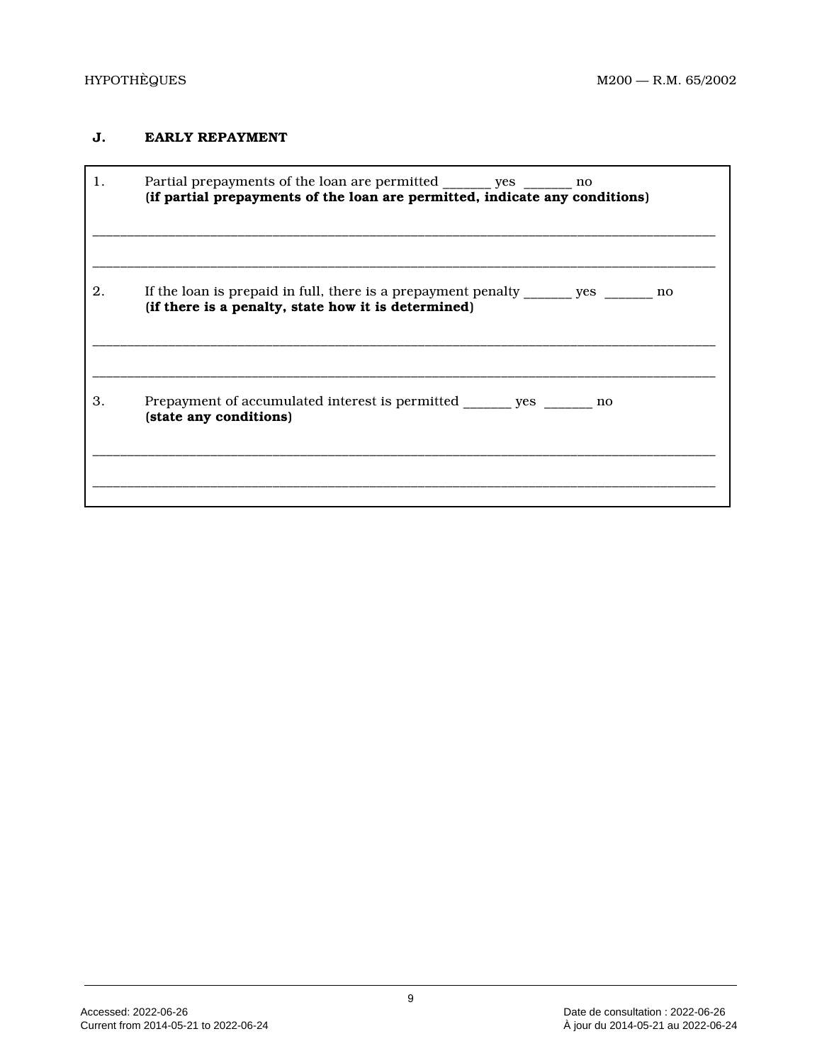# **J. EARLY REPAYMENT**

| 1. | Partial prepayments of the loan are permitted _______ yes ______ no<br>(if partial prepayments of the loan are permitted, indicate any conditions) |
|----|----------------------------------------------------------------------------------------------------------------------------------------------------|
| 2. | If the loan is prepaid in full, there is a prepayment penalty ______ yes ______ no<br>(if there is a penalty, state how it is determined)          |
| 3. | Prepayment of accumulated interest is permitted _______ yes _______ no<br>(state any conditions)                                                   |
|    |                                                                                                                                                    |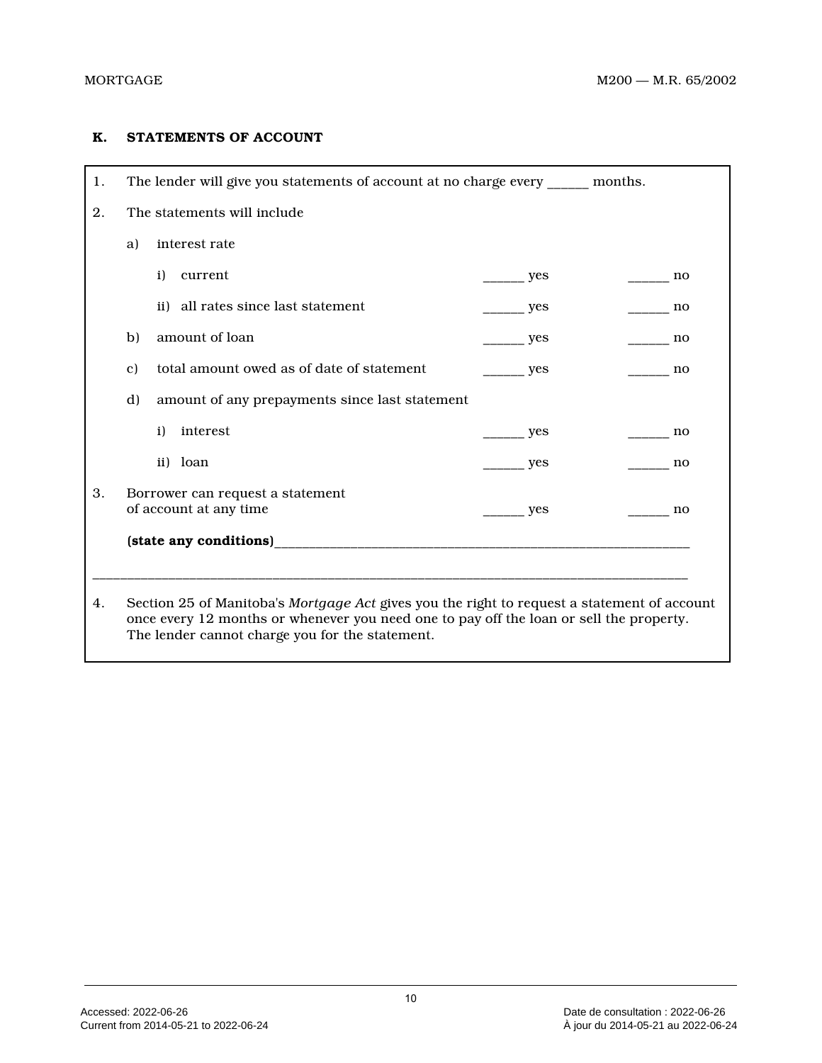# **K. STATEMENTS OF ACCOUNT**

| 1. | The lender will give you statements of account at no charge every ______ months.                                                                                                       |     |       |  |  |  |
|----|----------------------------------------------------------------------------------------------------------------------------------------------------------------------------------------|-----|-------|--|--|--|
| 2. | The statements will include                                                                                                                                                            |     |       |  |  |  |
|    | interest rate<br>a)                                                                                                                                                                    |     |       |  |  |  |
|    | i)<br>current                                                                                                                                                                          | yes | no    |  |  |  |
|    | ii) all rates since last statement                                                                                                                                                     | yes | no no |  |  |  |
|    | amount of loan<br>b)                                                                                                                                                                   | yes | no    |  |  |  |
|    | total amount owed as of date of statement<br>$\mathbf{c}$ )<br>yes<br>no                                                                                                               |     |       |  |  |  |
|    | d)<br>amount of any prepayments since last statement                                                                                                                                   |     |       |  |  |  |
|    | interest<br>i)                                                                                                                                                                         | yes | no    |  |  |  |
|    | ii) loan                                                                                                                                                                               | yes | no    |  |  |  |
| 3. | Borrower can request a statement                                                                                                                                                       |     |       |  |  |  |
|    | of account at any time                                                                                                                                                                 | yes | no    |  |  |  |
|    |                                                                                                                                                                                        |     |       |  |  |  |
|    |                                                                                                                                                                                        |     |       |  |  |  |
|    |                                                                                                                                                                                        |     |       |  |  |  |
| 4. | Section 25 of Manitoba's Mortgage Act gives you the right to request a statement of account<br>once every 12 months or whenever you need one to pay off the loan or sell the property. |     |       |  |  |  |
|    | The lender cannot charge you for the statement.                                                                                                                                        |     |       |  |  |  |
|    |                                                                                                                                                                                        |     |       |  |  |  |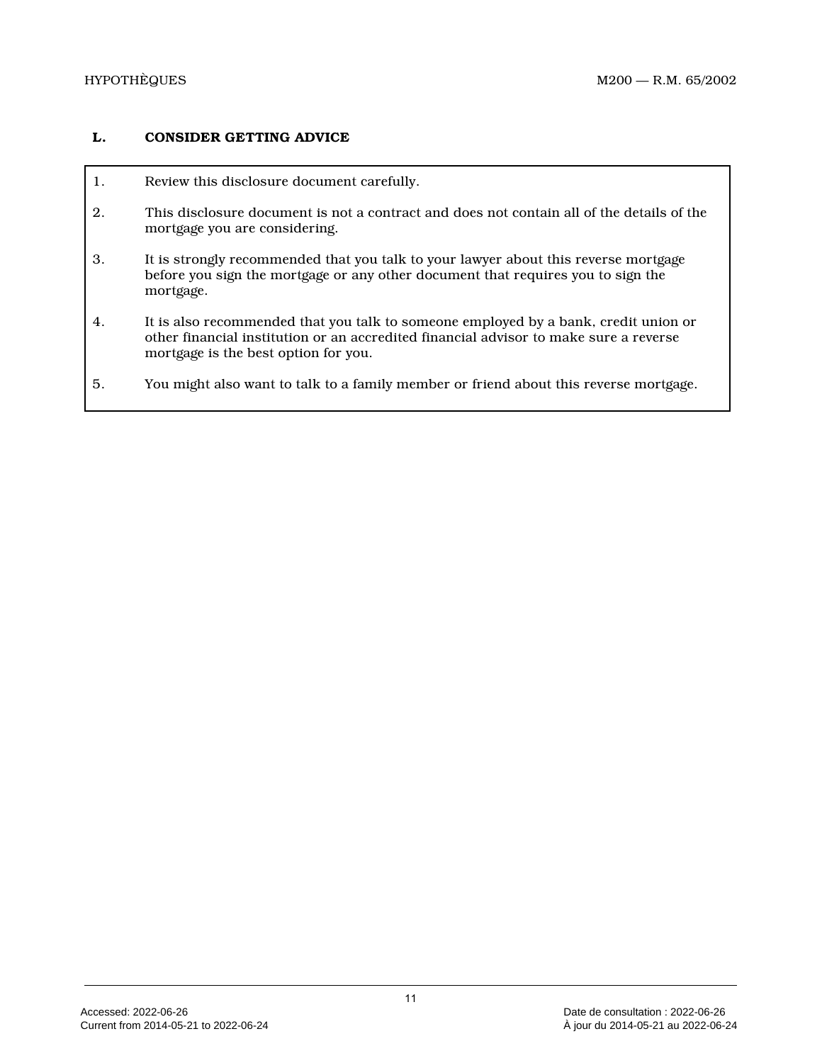# **L. CONSIDER GETTING ADVICE**

- 1. Review this disclosure document carefully.
- 2. This disclosure document is not a contract and does not contain all of the details of the mortgage you are considering.
- 3. It is strongly recommended that you talk to your lawyer about this reverse mortgage before you sign the mortgage or any other document that requires you to sign the mortgage.
- 4. It is also recommended that you talk to someone employed by a bank, credit union or other financial institution or an accredited financial advisor to make sure a reverse mortgage is the best option for you.
- 5. You might also want to talk to a family member or friend about this reverse mortgage.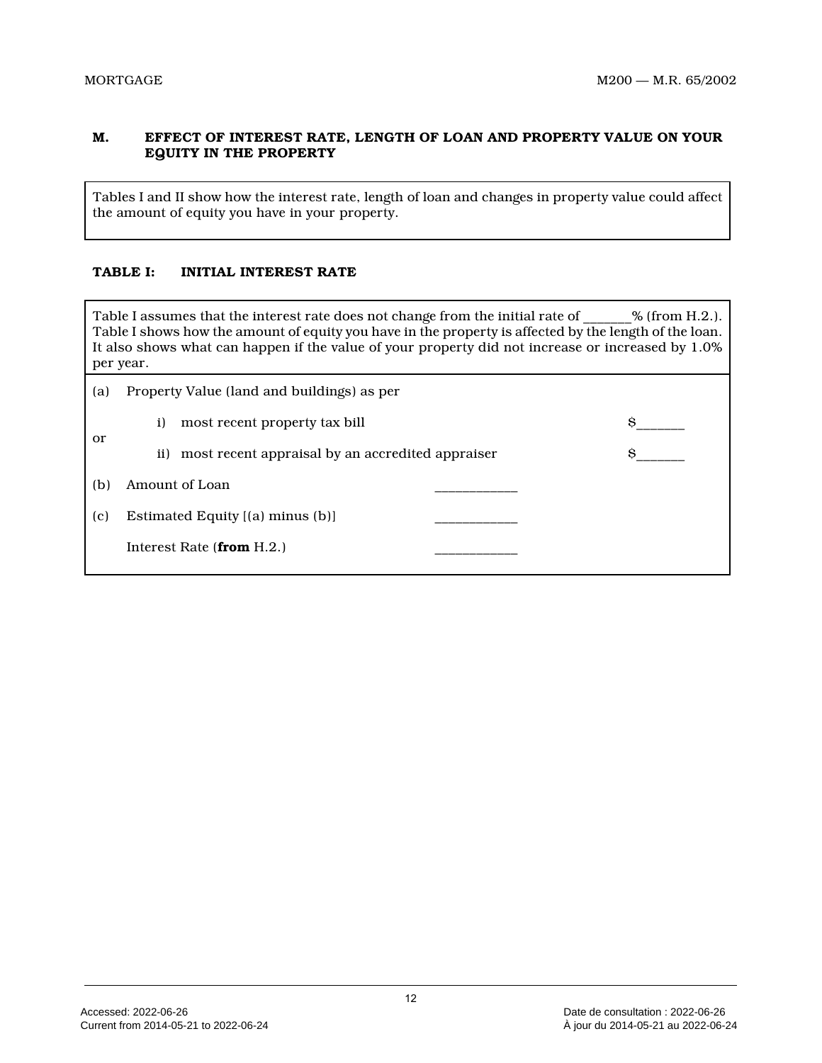# **M. EFFECT OF INTEREST RATE, LENGTH OF LOAN AND PROPERTY VALUE ON YOUR EQUITY IN THE PROPERTY**

Tables I and II show how the interest rate, length of loan and changes in property value could affect the amount of equity you have in your property.

# **TABLE I: INITIAL INTEREST RATE**

Table I assumes that the interest rate does not change from the initial rate of \_\_\_\_\_\_% (from H.2.). Table I shows how the amount of equity you have in the property is affected by the length of the loan. It also shows what can happen if the value of your property did not increase or increased by 1.0% per year.

| (a) | Property Value (land and buildings) as per              |   |
|-----|---------------------------------------------------------|---|
|     | $\mathbf{i}$<br>most recent property tax bill           | S |
| or  | most recent appraisal by an accredited appraiser<br>ii) | s |
| (b) | Amount of Loan                                          |   |
| (c) | Estimated Equity [(a) minus (b)]                        |   |
|     | Interest Rate $(\textbf{from } H.2.)$                   |   |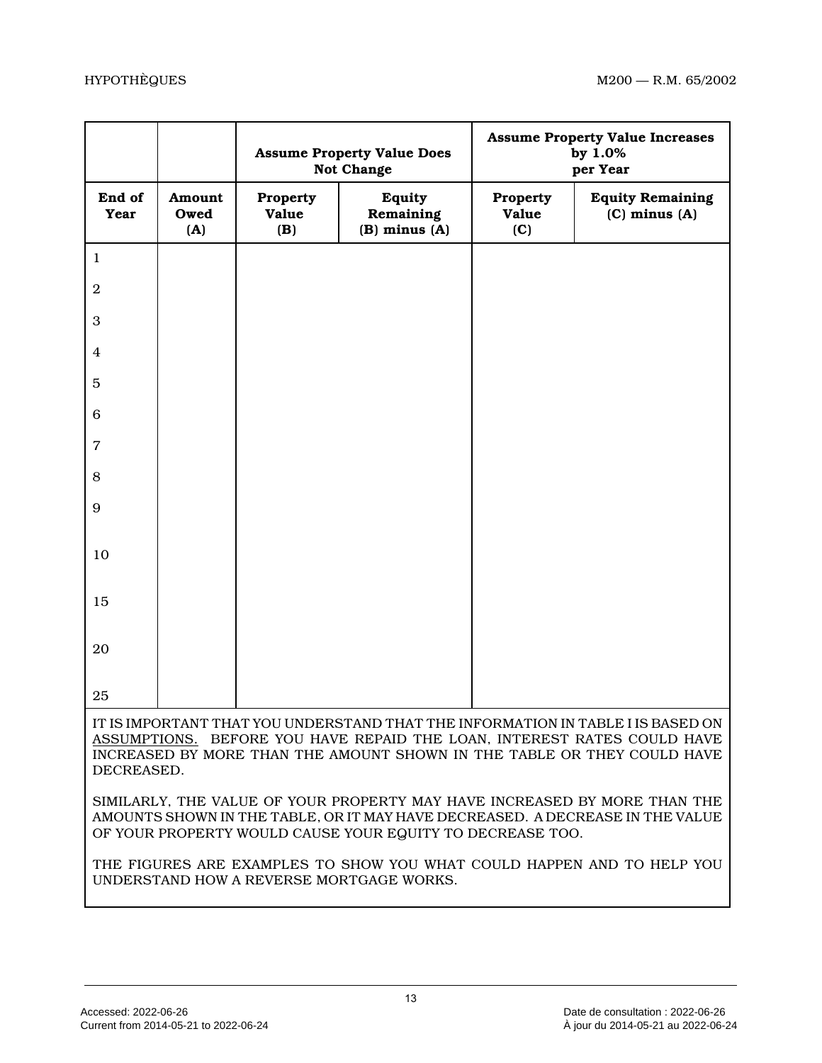|                |                       | <b>Assume Property Value Does</b><br>Not Change |                                                           |                          | <b>Assume Property Value Increases</b><br>by 1.0%<br>per Year                                                                                                                                                                         |
|----------------|-----------------------|-------------------------------------------------|-----------------------------------------------------------|--------------------------|---------------------------------------------------------------------------------------------------------------------------------------------------------------------------------------------------------------------------------------|
| End of<br>Year | Amount<br>Owed<br>(A) | Property<br>Value<br>( <b>B</b> )               | <b>Equity</b><br>Remaining<br>$(B)$ minus $(A)$           | Property<br>Value<br>(C) | <b>Equity Remaining</b><br>$(C)$ minus $(A)$                                                                                                                                                                                          |
| $\mathbf{1}$   |                       |                                                 |                                                           |                          |                                                                                                                                                                                                                                       |
| $\overline{2}$ |                       |                                                 |                                                           |                          |                                                                                                                                                                                                                                       |
| 3              |                       |                                                 |                                                           |                          |                                                                                                                                                                                                                                       |
| 4              |                       |                                                 |                                                           |                          |                                                                                                                                                                                                                                       |
| 5              |                       |                                                 |                                                           |                          |                                                                                                                                                                                                                                       |
| 6              |                       |                                                 |                                                           |                          |                                                                                                                                                                                                                                       |
| $\overline{7}$ |                       |                                                 |                                                           |                          |                                                                                                                                                                                                                                       |
| 8              |                       |                                                 |                                                           |                          |                                                                                                                                                                                                                                       |
| 9              |                       |                                                 |                                                           |                          |                                                                                                                                                                                                                                       |
| 10             |                       |                                                 |                                                           |                          |                                                                                                                                                                                                                                       |
| 15             |                       |                                                 |                                                           |                          |                                                                                                                                                                                                                                       |
| 20             |                       |                                                 |                                                           |                          |                                                                                                                                                                                                                                       |
| 25             |                       |                                                 |                                                           |                          |                                                                                                                                                                                                                                       |
| DECREASED.     |                       |                                                 |                                                           |                          | IT IS IMPORTANT THAT YOU UNDERSTAND THAT THE INFORMATION IN TABLE I IS BASED ON<br>ASSUMPTIONS. BEFORE YOU HAVE REPAID THE LOAN, INTEREST RATES COULD HAVE<br>INCREASED BY MORE THAN THE AMOUNT SHOWN IN THE TABLE OR THEY COULD HAVE |
|                |                       |                                                 | OF YOUR PROPERTY WOULD CAUSE YOUR EQUITY TO DECREASE TOO. |                          | SIMILARLY, THE VALUE OF YOUR PROPERTY MAY HAVE INCREASED BY MORE THAN THE<br>AMOUNTS SHOWN IN THE TABLE, OR IT MAY HAVE DECREASED. A DECREASE IN THE VALUE                                                                            |
|                |                       |                                                 | UNDERSTAND HOW A REVERSE MORTGAGE WORKS.                  |                          | THE FIGURES ARE EXAMPLES TO SHOW YOU WHAT COULD HAPPEN AND TO HELP YOU                                                                                                                                                                |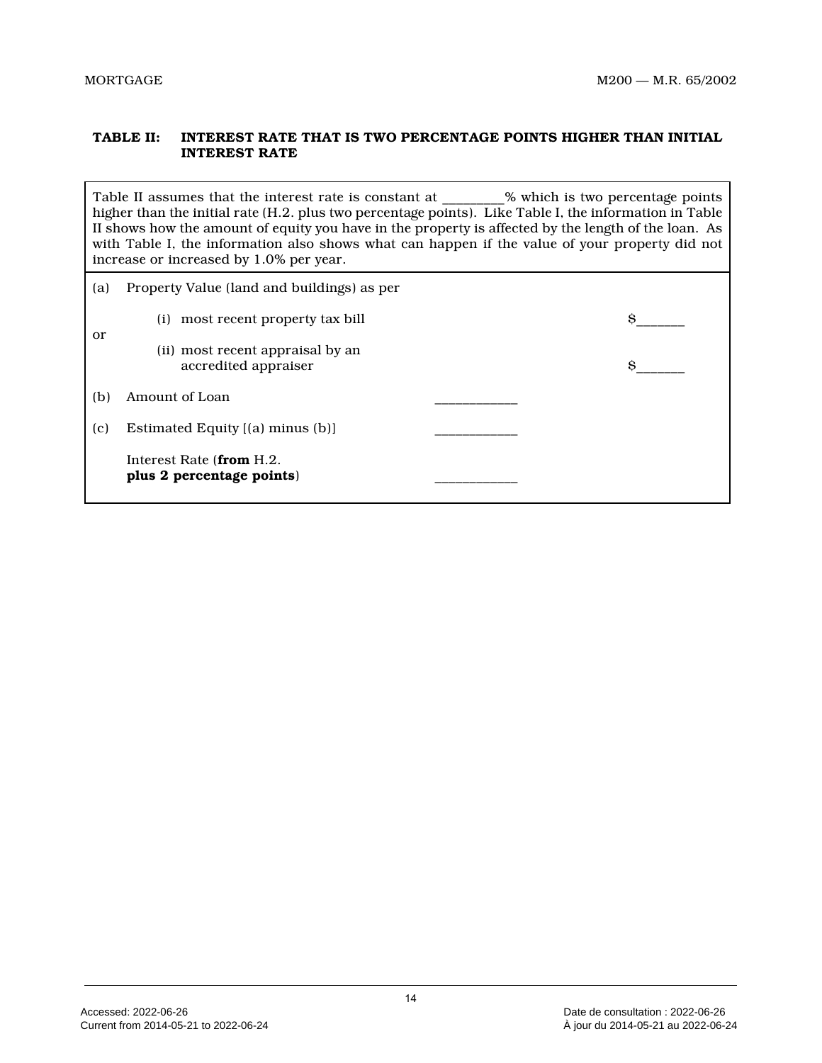# **TABLE II: INTEREST RATE THAT IS TWO PERCENTAGE POINTS HIGHER THAN INITIAL INTEREST RATE**

Table II assumes that the interest rate is constant at  $\sim$  % which is two percentage points higher than the initial rate (H.2. plus two percentage points). Like Table I, the information in Tabl e II shows how the amount of equity you have in the property is affected by the length of the loan. As with Table I, the information also shows what can happen if the value of your property did not increase or increased by 1.0% per year.

| (a)       | Property Value (land and buildings) as per               |   |
|-----------|----------------------------------------------------------|---|
|           | most recent property tax bill<br>(i)                     | S |
| <b>or</b> | (ii) most recent appraisal by an<br>accredited appraiser | S |
| (b)       | Amount of Loan                                           |   |
| (c)       | Estimated Equity [(a) minus (b)]                         |   |
|           | Interest Rate (from H.2.<br>plus 2 percentage points)    |   |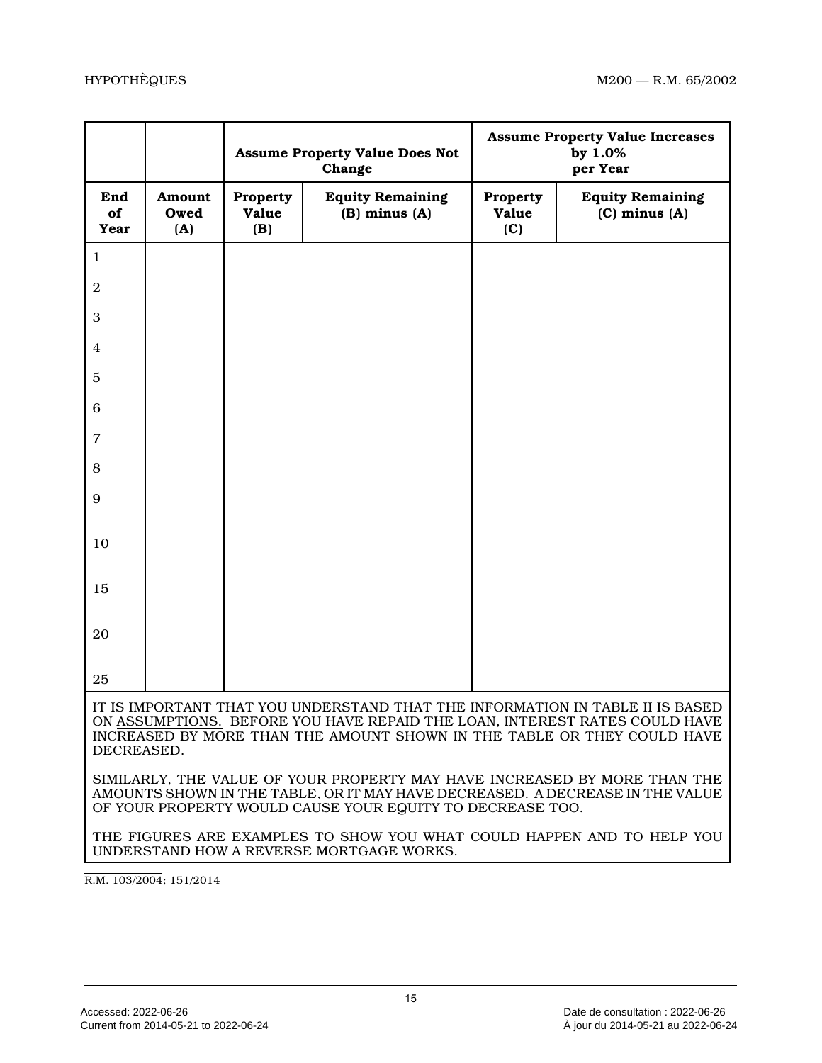|                   |                       |                          | <b>Assume Property Value Does Not</b><br>Change                                                                                                                                                                                        | <b>Assume Property Value Increases</b><br>by 1.0%<br>per Year |                                              |
|-------------------|-----------------------|--------------------------|----------------------------------------------------------------------------------------------------------------------------------------------------------------------------------------------------------------------------------------|---------------------------------------------------------------|----------------------------------------------|
| End<br>of<br>Year | Amount<br>Owed<br>(A) | Property<br>Value<br>(B) | <b>Equity Remaining</b><br>$(B)$ minus $(A)$                                                                                                                                                                                           | Property<br>Value<br>(C)                                      | <b>Equity Remaining</b><br>$(C)$ minus $(A)$ |
| 1                 |                       |                          |                                                                                                                                                                                                                                        |                                                               |                                              |
| $\overline{2}$    |                       |                          |                                                                                                                                                                                                                                        |                                                               |                                              |
| 3                 |                       |                          |                                                                                                                                                                                                                                        |                                                               |                                              |
| 4                 |                       |                          |                                                                                                                                                                                                                                        |                                                               |                                              |
| 5                 |                       |                          |                                                                                                                                                                                                                                        |                                                               |                                              |
| 6                 |                       |                          |                                                                                                                                                                                                                                        |                                                               |                                              |
| $\overline{7}$    |                       |                          |                                                                                                                                                                                                                                        |                                                               |                                              |
| 8                 |                       |                          |                                                                                                                                                                                                                                        |                                                               |                                              |
| 9                 |                       |                          |                                                                                                                                                                                                                                        |                                                               |                                              |
| 10                |                       |                          |                                                                                                                                                                                                                                        |                                                               |                                              |
| 15                |                       |                          |                                                                                                                                                                                                                                        |                                                               |                                              |
| 20                |                       |                          |                                                                                                                                                                                                                                        |                                                               |                                              |
| 25                |                       |                          |                                                                                                                                                                                                                                        |                                                               |                                              |
| DECREASED.        |                       |                          | IT IS IMPORTANT THAT YOU UNDERSTAND THAT THE INFORMATION IN TABLE II IS BASED<br>ON ASSUMPTIONS. BEFORE YOU HAVE REPAID THE LOAN, INTEREST RATES COULD HAVE<br>INCREASED BY MORE THAN THE AMOUNT SHOWN IN THE TABLE OR THEY COULD HAVE |                                                               |                                              |
|                   |                       |                          | SIMILARLY, THE VALUE OF YOUR PROPERTY MAY HAVE INCREASED BY MORE THAN THE<br>AMOUNTS SHOWN IN THE TABLE, OR IT MAY HAVE DECREASED. A DECREASE IN THE VALUE<br>OF YOUR PROPERTY WOULD CAUSE YOUR EQUITY TO DECREASE TOO.                |                                                               |                                              |
|                   |                       |                          | THE FIGURES ARE EXAMPLES TO SHOW YOU WHAT COULD HAPPEN AND TO HELP YOU<br>UNDERSTAND HOW A REVERSE MORTGAGE WORKS.                                                                                                                     |                                                               |                                              |

R.M. 103/2004; 151/2014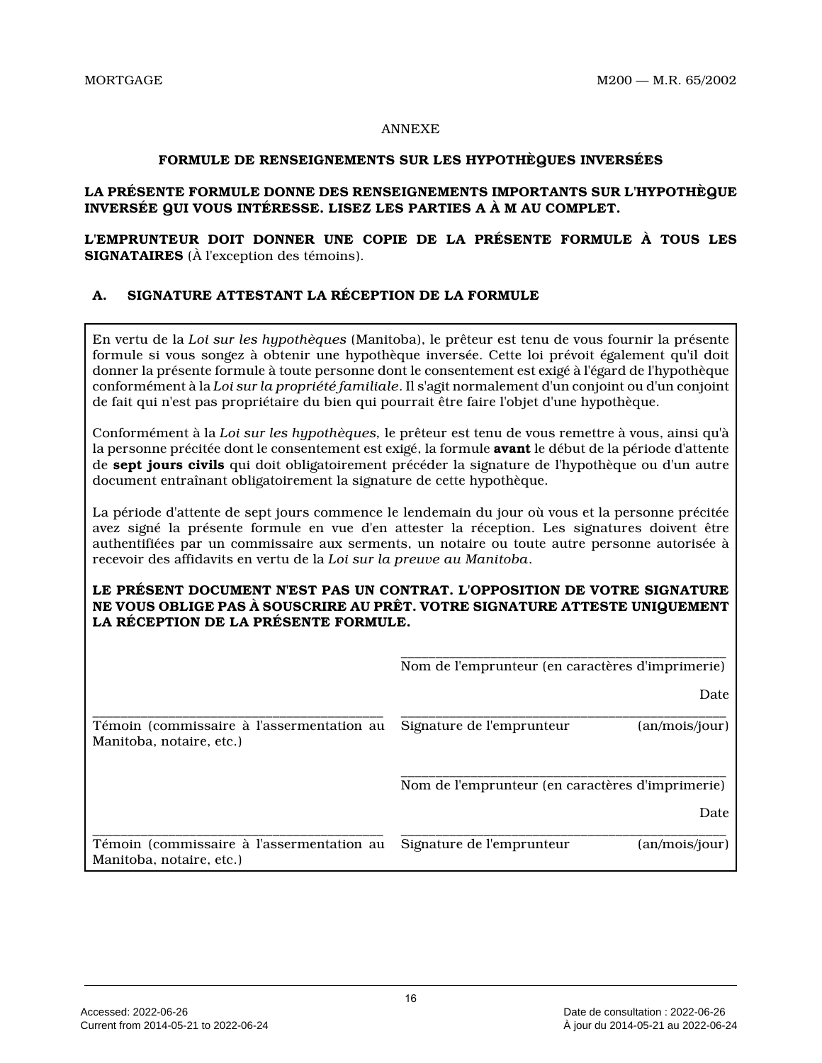### ANNEXE

### **FORMULE DE RENSEIGNEMENTS SUR LES HYPOTHÈQUES INVERSÉES**

# **LA PRÉSENTE FORMULE DONNE DES RENSEIGNEMENTS IMPORTANTS SUR L'HYPOTHÈQUE INVERSÉE QUI VOUS INTÉRESSE. LISEZ LES PARTIES A À M AU COMPLET.**

**L'EMPRUNTEUR DOIT DONNER UNE COPIE DE LA PRÉSENTE FORMULE À TOUS LES SIGNATAIRES** (À l'exception des témoins).

# **A. SIGNATURE ATTESTANT LA RÉCEPTION DE LA FORMULE**

En vertu de la *Loi sur les hypothèques* (Manitoba), le prêteur est tenu de vous fournir la présente formule si vous songez à obtenir une hypothèque inversée. Cette loi prévoit également qu'il doit donner la présente formule à toute personne dont le consentement est exigé à l'égard de l'hypothèque conformément à la *Loi sur la propriété familiale*. Il s'agit normalement d'un conjoint ou d'un conjoint de fait qui n'est pas propriétaire du bien qui pourrait être faire l'objet d'une hypothèque.

Conformément à la *Loi sur les hypothèques,* le prêteur est tenu de vous remettre à vous, ainsi qu'à la personne précitée dont le consentement est exigé, la formule **avant** le début de la période d'attente de **sept jours civils** qui doit obligatoirement précéder la signature de l'hypothèque ou d'un autre document entraînant obligatoirement la signature de cette hypothèque.

La période d'attente de sept jours commence le lendemain du jour où vous et la personne précitée avez signé la présente formule en vue d'en attester la réception. Les signatures doivent être authentifiées par un commissaire aux serments, un notaire ou toute autre personne autorisée à recevoir des affidavits en vertu de la *Loi sur la preuve au Manitoba* .

# **LE PRÉSENT DOCUMENT N'EST PAS UN CONTRAT. L'OPPOSITION DE VOTRE SIGNATURE NE VOUS OBLIGE PAS À SOUSCRIRE AU PRÊT. VOTRE SIGNATURE ATTESTE UNIQUEMENT LA RÉCEPTION DE LA PRÉSENTE FORMULE.**

|                                                                       | Nom de l'emprunteur (en caractères d'imprimerie)         |
|-----------------------------------------------------------------------|----------------------------------------------------------|
|                                                                       | Date                                                     |
| Témoin (commissaire à l'assermentation au<br>Manitoba, notaire, etc.) | Signature de l'emprunteur<br>(an/mois/jour)              |
|                                                                       | Nom de l'emprunteur (en caractères d'imprimerie)<br>Date |
| Témoin (commissaire à l'assermentation au<br>Manitoba, notaire, etc.) | Signature de l'emprunteur<br>(an/mois/jour)              |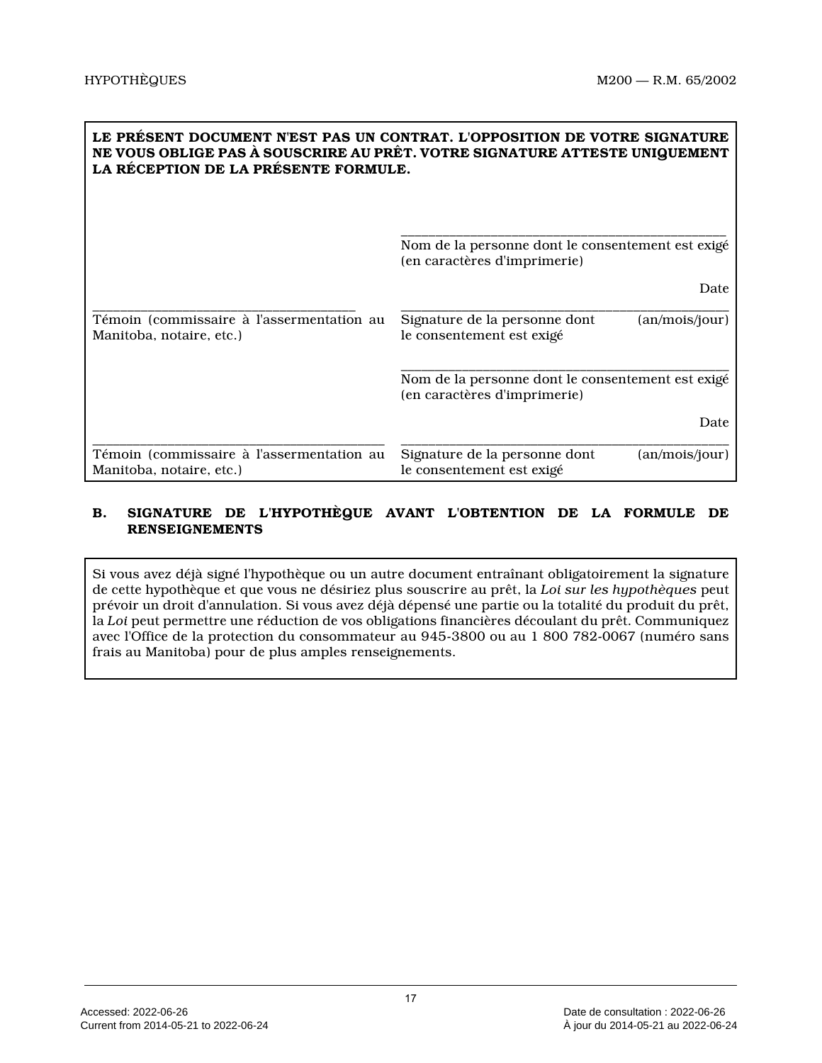| LE PRÉSENT DOCUMENT N'EST PAS UN CONTRAT. L'OPPOSITION DE VOTRE SIGNATURE<br>NE VOUS OBLIGE PAS À SOUSCRIRE AU PRÊT. VOTRE SIGNATURE ATTESTE UNIQUEMENT<br>LA RÉCEPTION DE LA PRÉSENTE FORMULE. |                                                                                   |  |  |  |
|-------------------------------------------------------------------------------------------------------------------------------------------------------------------------------------------------|-----------------------------------------------------------------------------------|--|--|--|
|                                                                                                                                                                                                 | Nom de la personne dont le consentement est exigé<br>(en caractères d'imprimerie) |  |  |  |
|                                                                                                                                                                                                 | Date                                                                              |  |  |  |
| Témoin (commissaire à l'assermentation au<br>Manitoba, notaire, etc.)                                                                                                                           | Signature de la personne dont<br>(an/mois/jour)<br>le consentement est exigé      |  |  |  |
|                                                                                                                                                                                                 | Nom de la personne dont le consentement est exigé<br>(en caractères d'imprimerie) |  |  |  |
|                                                                                                                                                                                                 | Date                                                                              |  |  |  |
| Témoin (commissaire à l'assermentation au<br>Manitoba, notaire, etc.)                                                                                                                           | Signature de la personne dont<br>(an/mois/jour)<br>le consentement est exigé      |  |  |  |

# **B. SIGNATURE DE L'HYPOTHÈQUE AVANT L'OBTENTION DE LA FORMULE DE RENSEIGNEMENTS**

Si vous avez déjà signé l'hypothèque ou un autre document entraînant obligatoirement la signature de cette hypothèque et que vous ne désiriez plus souscrire au prêt, la *Loi sur les hypothèques* peut prévoir un droit d'annulation. Si vous avez déjà dépensé une partie ou la totalité du produit du prêt, la *Loi* peut permettre une réduction de vos obligations financières découlant du prêt. Communiquez avec l'Office de la protection du consommateur au 945-3800 ou au 1 800 782-0067 (numéro sans frais au Manitoba) pour de plus amples renseignements.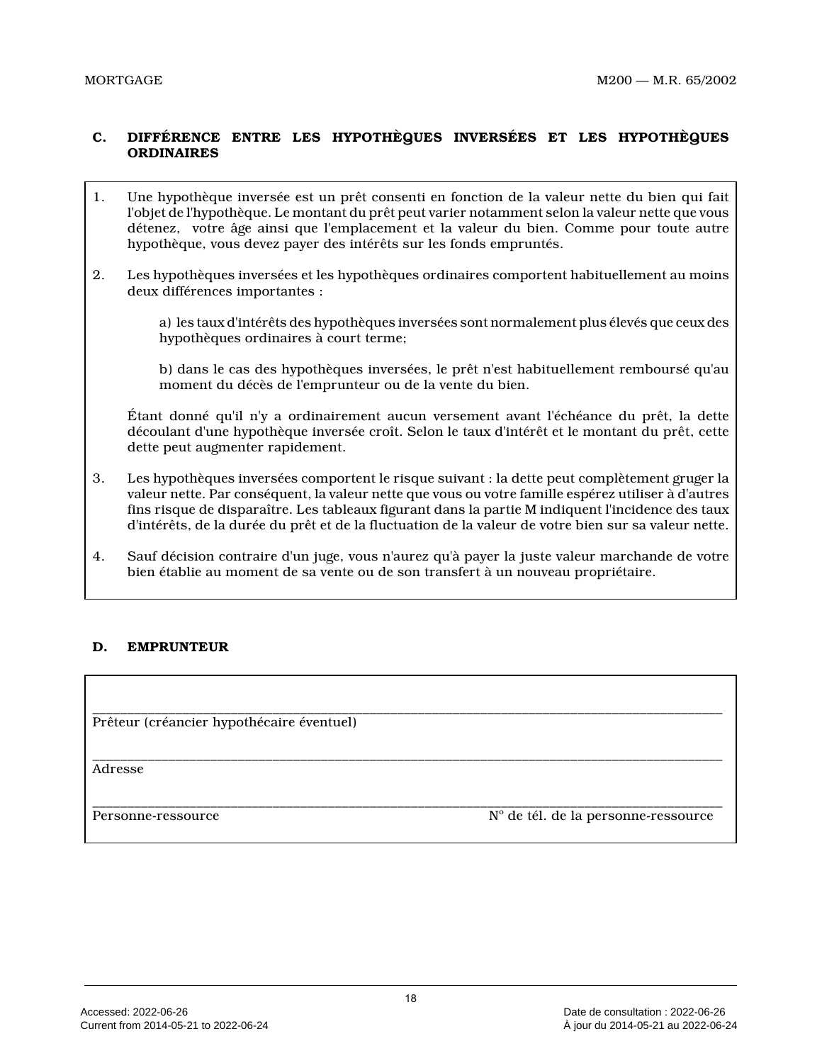# **C. DIFFÉRENCE ENTRE LES HYPOTHÈQUES INVERSÉES ET LES HYPOTHÈQUES ORDINAIRES**

- 1. Une hypothèque inversée est un prêt consenti en fonction de la valeur nette du bien qui fait l'objet de l'hypothèque. Le montant du prêt peut varier notamment selon la valeur nette que vous détenez, votre âge ainsi que l'emplacement et la valeur du bien. Comme pour toute autre hypothèque, vous devez payer des intérêts sur les fonds empruntés.
- 2. Les hypothèques inversées et les hypothèques ordinaires comportent habituellement au moins deux différences importantes :

a) les taux d'intérêts des hypothèques inversées sont normalement plus élevés que ceux des hypothèques ordinaires à court terme;

b) dans le cas des hypothèques inversées, le prêt n'est habituellement remboursé qu'au moment du décès de l'emprunteur ou de la vente du bien.

Étant donné qu'il n'y a ordinairement aucun versement avant l'échéance du prêt, la dette découlant d'une hypothèque inversée croît. Selon le taux d'intérêt et le montant du prêt, cette dette peut augmenter rapidement.

- 3. Les hypothèques inversées comportent le risque suivant : la dette peut complètement gruger la valeur nette. Par conséquent, la valeur nette que vous ou votre famille espérez utiliser à d'autres fins risque de disparaître. Les tableaux figurant dans la partie M indiquent l'incidence des taux d'intérêts, de la durée du prêt et de la fluctuation de la valeur de votre bien sur sa valeur nette.
- 4. Sauf décision contraire d'un juge, vous n'aurez qu'à payer la juste valeur marchande de votre bien établie au moment de sa vente ou de son transfert à un nouveau propriétaire.

# **D. EMPRUNTEUR**

\_\_\_\_\_\_\_\_\_\_\_\_\_\_\_\_\_\_\_\_\_\_\_\_\_\_\_\_\_\_\_\_\_\_\_\_\_\_\_\_\_\_\_\_\_\_\_\_\_\_\_\_\_\_\_\_\_\_\_\_\_\_\_\_\_\_\_\_\_\_\_\_\_\_\_\_\_\_\_\_\_\_\_\_\_\_\_\_\_\_\_ Prêteur (créancier hypothécaire éventuel)

\_\_\_\_\_\_\_\_\_\_\_\_\_\_\_\_\_\_\_\_\_\_\_\_\_\_\_\_\_\_\_\_\_\_\_\_\_\_\_\_\_\_\_\_\_\_\_\_\_\_\_\_\_\_\_\_\_\_\_\_\_\_\_\_\_\_\_\_\_\_\_\_\_\_\_\_\_\_\_\_\_\_\_\_\_\_\_\_\_\_\_ Adresse

Personne-ressource

Nº de tél. de la personne-ressource

\_\_\_\_\_\_\_\_\_\_\_\_\_\_\_\_\_\_\_\_\_\_\_\_\_\_\_\_\_\_\_\_\_\_\_\_\_\_\_\_\_\_\_\_\_\_\_\_\_\_\_\_\_\_\_\_\_\_\_\_\_\_\_\_\_\_\_\_\_\_\_\_\_\_\_\_\_\_\_\_\_\_\_\_\_\_\_\_\_\_\_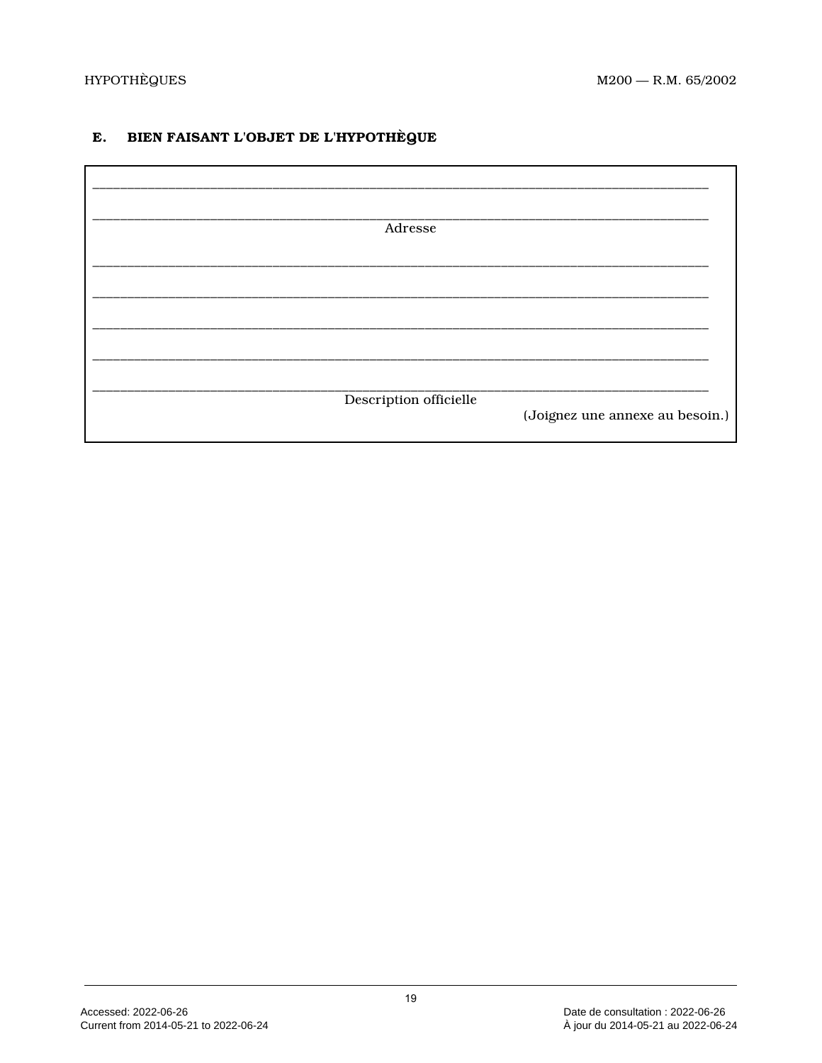### BIEN FAISANT L'OBJET DE L'HYPOTHÈQUE E.

| Adresse                |                                 |
|------------------------|---------------------------------|
|                        |                                 |
|                        |                                 |
|                        |                                 |
|                        |                                 |
| Description officielle | (Joignez une annexe au besoin.) |
|                        |                                 |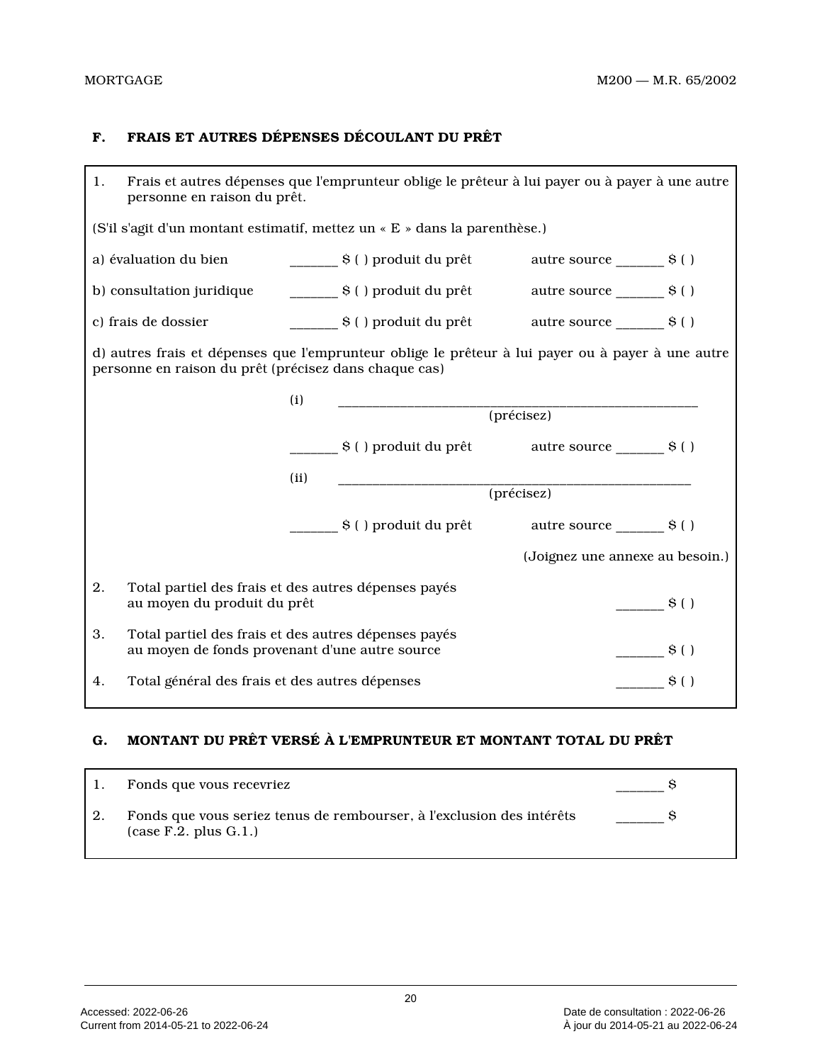# **F. FRAIS ET AUTRES DÉPENSES DÉCOULANT DU PRÊT**

| 1.                                                                                                                         | Frais et autres dépenses que l'emprunteur oblige le prêteur à lui payer ou à payer à une autre<br>personne en raison du prêt. |      |                                                                           |                                                                                                   |  |  |
|----------------------------------------------------------------------------------------------------------------------------|-------------------------------------------------------------------------------------------------------------------------------|------|---------------------------------------------------------------------------|---------------------------------------------------------------------------------------------------|--|--|
|                                                                                                                            |                                                                                                                               |      | (S'il s'agit d'un montant estimatif, mettez un « E » dans la parenthèse.) |                                                                                                   |  |  |
|                                                                                                                            | a) évaluation du bien<br>_________ \$ ( ) produit du prêt<br>autre source $\rule{1em}{0.15mm}$ s ( )                          |      |                                                                           |                                                                                                   |  |  |
|                                                                                                                            |                                                                                                                               |      |                                                                           | autre source $\rule{1em}{0.15mm}$ s ( )                                                           |  |  |
|                                                                                                                            | c) frais de dossier                                                                                                           |      | $\frac{1}{2}$ S() produit du prêt autre source $\frac{1}{2}$ S()          |                                                                                                   |  |  |
|                                                                                                                            | personne en raison du prêt (précisez dans chaque cas)                                                                         |      |                                                                           | d) autres frais et dépenses que l'emprunteur oblige le prêteur à lui payer ou à payer à une autre |  |  |
|                                                                                                                            |                                                                                                                               | (i)  | ______________________                                                    | $(pr{\'e}cisez)$                                                                                  |  |  |
|                                                                                                                            |                                                                                                                               |      |                                                                           |                                                                                                   |  |  |
|                                                                                                                            |                                                                                                                               |      |                                                                           |                                                                                                   |  |  |
|                                                                                                                            |                                                                                                                               | (ii) |                                                                           |                                                                                                   |  |  |
|                                                                                                                            |                                                                                                                               |      |                                                                           |                                                                                                   |  |  |
|                                                                                                                            |                                                                                                                               |      | \$ ( ) produit du prêt                                                    | autre source ________ \$ ( )                                                                      |  |  |
|                                                                                                                            |                                                                                                                               |      |                                                                           | (Joignez une annexe au besoin.)                                                                   |  |  |
| 2.                                                                                                                         | Total partiel des frais et des autres dépenses payés<br>au moyen du produit du prêt                                           |      |                                                                           | $\mathbf{S}$ ( )                                                                                  |  |  |
| 3.<br>Total partiel des frais et des autres dépenses payés<br>$\sim$ S()<br>au moyen de fonds provenant d'une autre source |                                                                                                                               |      |                                                                           |                                                                                                   |  |  |
| 4.                                                                                                                         | Total général des frais et des autres dépenses<br>$\mathbf{S}$ ( )                                                            |      |                                                                           |                                                                                                   |  |  |

# **G. MONTANT DU PRÊT VERSÉ À L'EMPRUNTEUR ET MONTANT TOTAL DU PRÊT**

| Fonds que vous recevriez                                                                                |  |
|---------------------------------------------------------------------------------------------------------|--|
| Fonds que vous seriez tenus de rembourser, à l'exclusion des intérêts<br>$(\text{case F.2. plus G.1.})$ |  |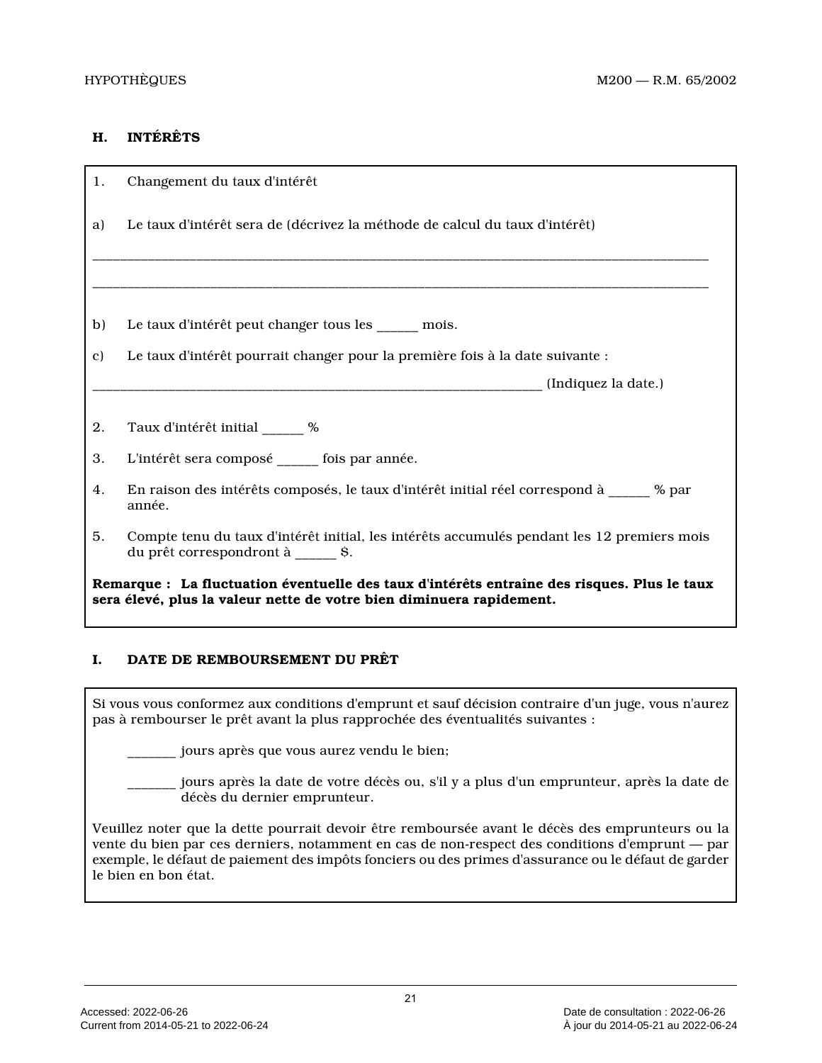# **H. INTÉRÊTS**

| 1.                                                                                                                                                                  | Changement du taux d'intérêt                                                                                                      |  |  |
|---------------------------------------------------------------------------------------------------------------------------------------------------------------------|-----------------------------------------------------------------------------------------------------------------------------------|--|--|
| a)                                                                                                                                                                  | Le taux d'intérêt sera de (décrivez la méthode de calcul du taux d'intérêt)                                                       |  |  |
|                                                                                                                                                                     |                                                                                                                                   |  |  |
| b)                                                                                                                                                                  | Le taux d'intérêt peut changer tous les _____ mois.                                                                               |  |  |
| C)                                                                                                                                                                  | Le taux d'intérêt pourrait changer pour la première fois à la date suivante :                                                     |  |  |
|                                                                                                                                                                     |                                                                                                                                   |  |  |
| 2.                                                                                                                                                                  | Taux d'intérêt initial _____ %                                                                                                    |  |  |
| 3.                                                                                                                                                                  | L'intérêt sera composé _____ fois par année.                                                                                      |  |  |
| 4.                                                                                                                                                                  | En raison des intérêts composés, le taux d'intérêt initial réel correspond à $\frac{1}{2}$ % par<br>année.                        |  |  |
| 5.                                                                                                                                                                  | Compte tenu du taux d'intérêt initial, les intérêts accumulés pendant les 12 premiers mois<br>du prêt correspondront à ______ \$. |  |  |
| Remarque : La fluctuation éventuelle des taux d'intérêts entraîne des risques. Plus le taux<br>sera élevé, plus la valeur nette de votre bien diminuera rapidement. |                                                                                                                                   |  |  |

# **I. DATE DE REMBOURSEMENT DU PRÊT**

Si vous vous conformez aux conditions d'emprunt et sauf décision contraire d'un juge, vous n'aurez pas à rembourser le prêt avant la plus rapprochée des éventualités suivantes :

jours après que vous aurez vendu le bien;

\_\_\_\_\_\_\_ jours après la date de votre décès ou, s'il y a plus d'un emprunteur, après la date de décès du dernier emprunteur.

Veuillez noter que la dette pourrait devoir être remboursée avant le décès des emprunteurs ou la vente du bien par ces derniers, notamment en cas de non-respect des conditions d'emprunt — par exemple, le défaut de paiement des impôts fonciers ou des primes d'assurance ou le défaut de garder le bien en bon état.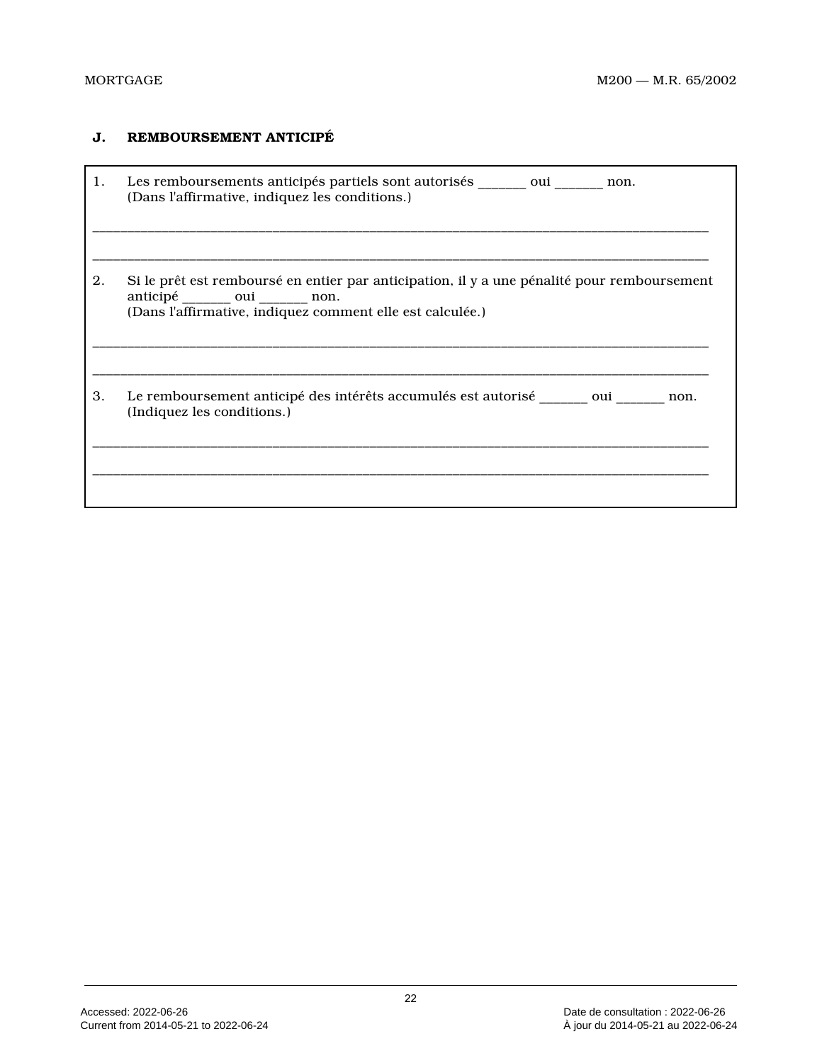# **J. REMBOURSEMENT ANTICIPÉ**

| 1. | Les remboursements anticipés partiels sont autorisés oui<br>non.<br>(Dans l'affirmative, indiquez les conditions.)                                                            |
|----|-------------------------------------------------------------------------------------------------------------------------------------------------------------------------------|
| 2. | Si le prêt est remboursé en entier par anticipation, il y a une pénalité pour remboursement<br>anticipé oui non.<br>(Dans l'affirmative, indiquez comment elle est calculée.) |
| 3. | Le remboursement anticipé des intérêts accumulés est autorisé oui<br>non.<br>(Indiquez les conditions.)                                                                       |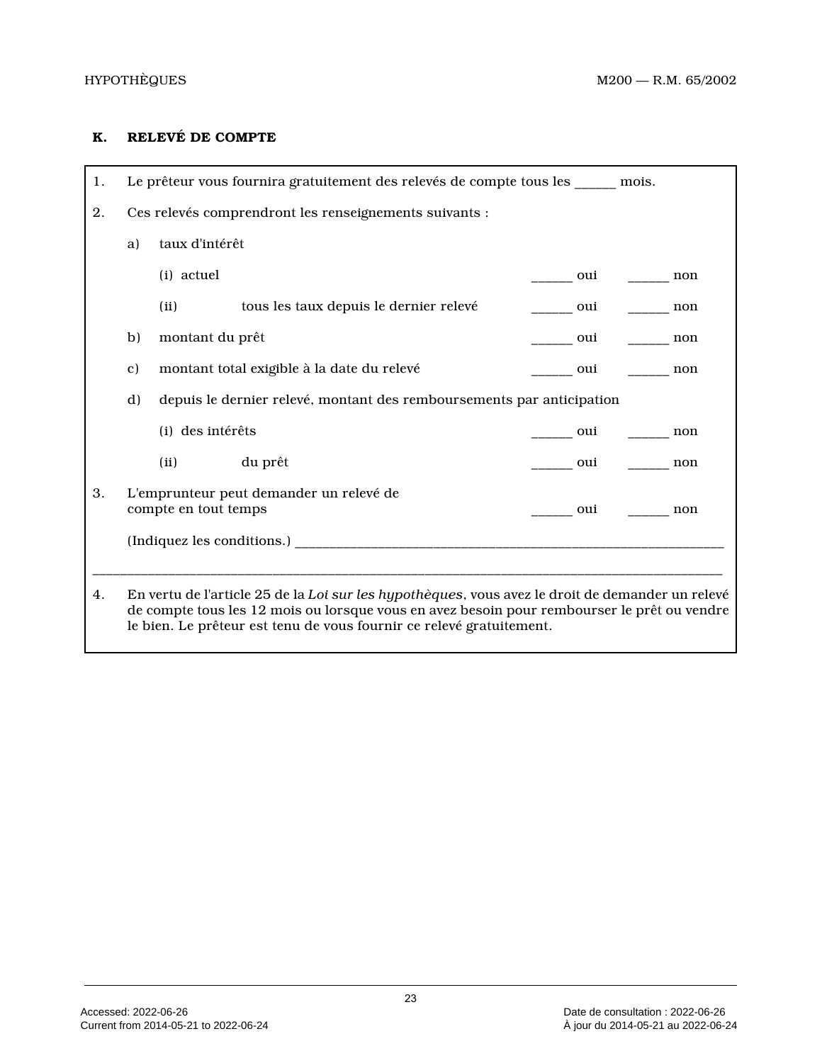# **K. RELEVÉ DE COMPTE**

| 1. | Le prêteur vous fournira gratuitement des relevés de compte tous les _____ mois.                                                                                                                                                                                        |                      |                                         |  |                                                                                                                      |     |     |
|----|-------------------------------------------------------------------------------------------------------------------------------------------------------------------------------------------------------------------------------------------------------------------------|----------------------|-----------------------------------------|--|----------------------------------------------------------------------------------------------------------------------|-----|-----|
| 2. | Ces relevés comprendront les renseignements suivants :                                                                                                                                                                                                                  |                      |                                         |  |                                                                                                                      |     |     |
|    | a)                                                                                                                                                                                                                                                                      | taux d'intérêt       |                                         |  |                                                                                                                      |     |     |
|    |                                                                                                                                                                                                                                                                         | (i) actuel           |                                         |  | oui                                                                                                                  |     | non |
|    |                                                                                                                                                                                                                                                                         | (ii)                 | tous les taux depuis le dernier relevé  |  | oui                                                                                                                  |     | non |
|    | b)                                                                                                                                                                                                                                                                      | montant du prêt      |                                         |  | oui                                                                                                                  |     | non |
|    | montant total exigible à la date du relevé<br>$\mathbf{c}$<br>oui                                                                                                                                                                                                       |                      |                                         |  |                                                                                                                      | non |     |
|    | depuis le dernier relevé, montant des remboursements par anticipation<br>d)                                                                                                                                                                                             |                      |                                         |  |                                                                                                                      |     |     |
|    | (i) des intérêts                                                                                                                                                                                                                                                        |                      |                                         |  | oui ______                                                                                                           |     | non |
|    |                                                                                                                                                                                                                                                                         | (ii) du prêt         |                                         |  | <u>oui</u> and the set of the set of the set of the set of the set of the set of the set of the set of the set of th |     | non |
| 3. |                                                                                                                                                                                                                                                                         |                      | L'emprunteur peut demander un relevé de |  |                                                                                                                      |     |     |
|    |                                                                                                                                                                                                                                                                         | compte en tout temps |                                         |  | oui                                                                                                                  |     | non |
|    |                                                                                                                                                                                                                                                                         |                      | (Indiquez les conditions.)              |  |                                                                                                                      |     |     |
|    |                                                                                                                                                                                                                                                                         |                      |                                         |  |                                                                                                                      |     |     |
| 4. | En vertu de l'article 25 de la Loi sur les hypothèques, vous avez le droit de demander un relevé<br>de compte tous les 12 mois ou lorsque vous en avez besoin pour rembourser le prêt ou vendre<br>le bien. Le prêteur est tenu de vous fournir ce relevé gratuitement. |                      |                                         |  |                                                                                                                      |     |     |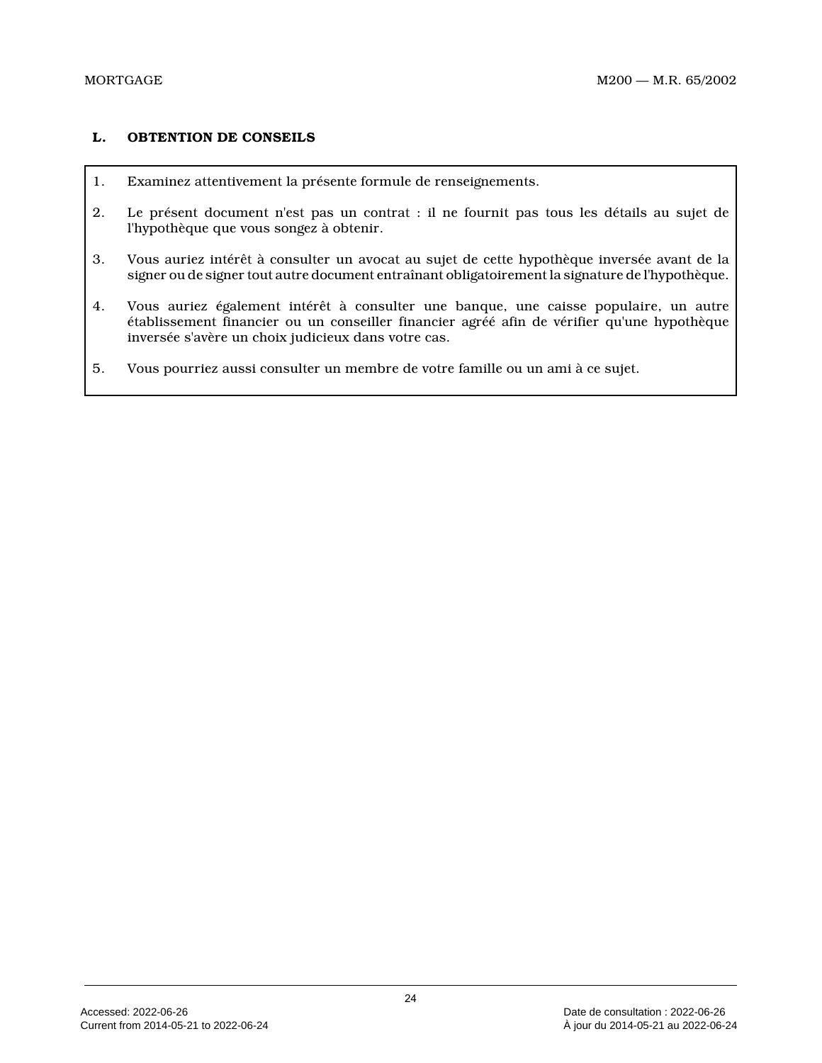### **L. OBTENTION DE CONSEILS**

- 1. Examinez attentivement la présente formule de renseignements.
- 2. Le présent document n'est pas un contrat : il ne fournit pas tous les détails au sujet de l'hypothèque que vous songez à obtenir.
- 3. Vous auriez intérêt à consulter un avocat au sujet de cette hypothèque inversée avant de la signer ou de signer tout autre document entraînant obligatoirement la signature de l'hypothèque.
- 4. Vous auriez également intérêt à consulter une banque, une caisse populaire, un autre établissement financier ou un conseiller financier agréé afin de vérifier qu'une hypothèque inversée s'avère un choix judicieux dans votre cas.
- 5. Vous pourriez aussi consulter un membre de votre famille ou un ami à ce sujet.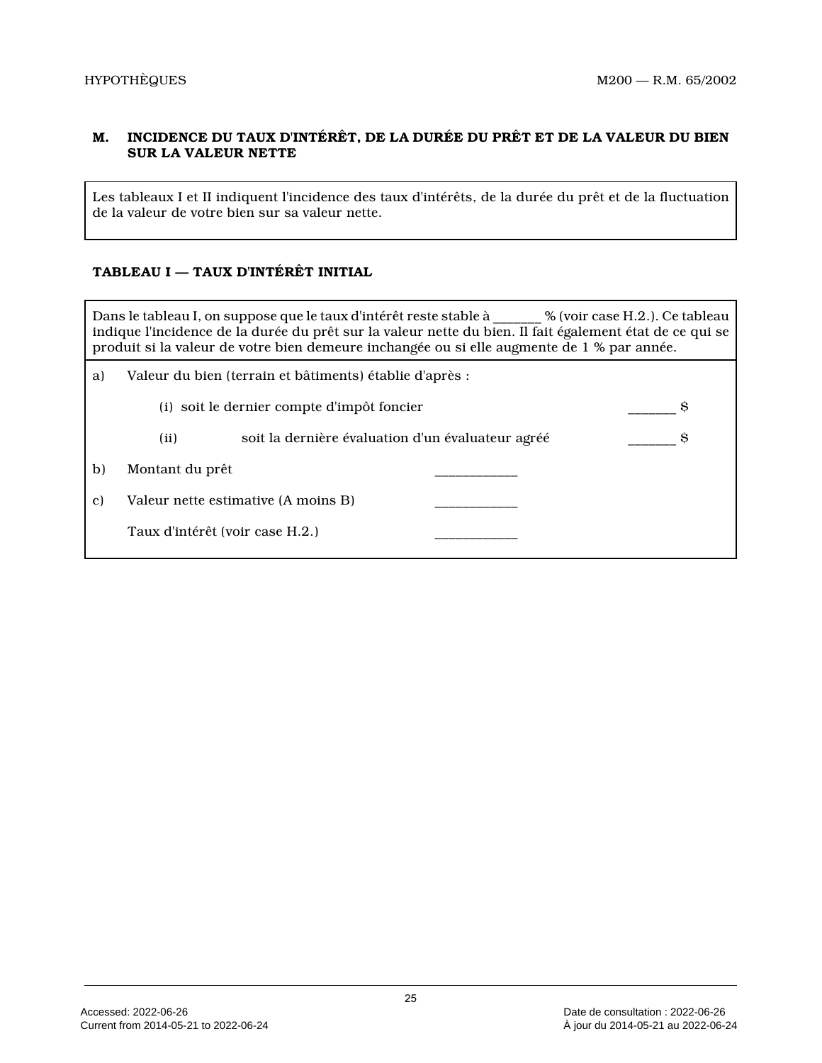# **M. INCIDENCE DU TAUX D'INTÉRÊT, DE LA DURÉE DU PRÊT ET DE LA VALEUR DU BIEN SUR LA VALEUR NETTE**

Les tableaux I et II indiquent l'incidence des taux d'intérêts, de la durée du prêt et de la fluctuation de la valeur de votre bien sur sa valeur nette.

# **TABLEAU I — TAUX D'INTÉRÊT INITIAL**

Dans le tableau I, on suppose que le taux d'intérêt reste stable à \_\_\_\_\_\_\_ % (voir case H.2.). Ce tableau indique l'incidence de la durée du prêt sur la valeur nette du bien. Il fait également état de ce qui se produit si la valeur de votre bien demeure inchangée ou si elle augmente de 1 % par année.

| a) | Valeur du bien (terrain et bâtiments) établie d'après :   |   |  |  |  |
|----|-----------------------------------------------------------|---|--|--|--|
|    | (i) soit le dernier compte d'impôt foncier                | S |  |  |  |
|    | soit la dernière évaluation d'un évaluateur agréé<br>(ii) |   |  |  |  |
| b) | Montant du prêt                                           |   |  |  |  |
| C) | Valeur nette estimative (A moins B)                       |   |  |  |  |
|    | Taux d'intérêt (voir case H.2.)                           |   |  |  |  |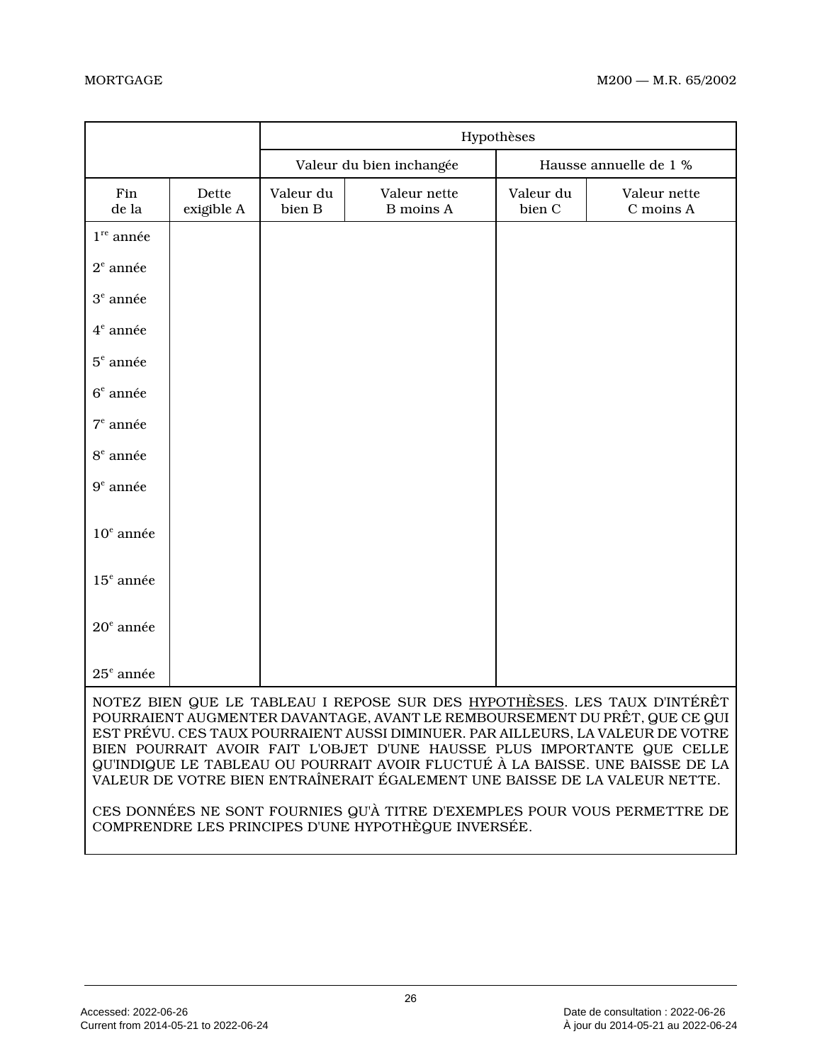|                                                                                                                                                                                                                                                                                                                                                                                                                                                                                                                                                                   |                     | Hypothèses                                         |                                  |                     |                           |
|-------------------------------------------------------------------------------------------------------------------------------------------------------------------------------------------------------------------------------------------------------------------------------------------------------------------------------------------------------------------------------------------------------------------------------------------------------------------------------------------------------------------------------------------------------------------|---------------------|----------------------------------------------------|----------------------------------|---------------------|---------------------------|
|                                                                                                                                                                                                                                                                                                                                                                                                                                                                                                                                                                   |                     | Hausse annuelle de 1 %<br>Valeur du bien inchangée |                                  |                     |                           |
| Fin<br>de la                                                                                                                                                                                                                                                                                                                                                                                                                                                                                                                                                      | Dette<br>exigible A | Valeur du<br>bien B                                | Valeur nette<br><b>B</b> moins A | Valeur du<br>bien C | Valeur nette<br>C moins A |
| $1^{\text{re}}$ année                                                                                                                                                                                                                                                                                                                                                                                                                                                                                                                                             |                     |                                                    |                                  |                     |                           |
| $2^e$ année                                                                                                                                                                                                                                                                                                                                                                                                                                                                                                                                                       |                     |                                                    |                                  |                     |                           |
| $3^e$ année                                                                                                                                                                                                                                                                                                                                                                                                                                                                                                                                                       |                     |                                                    |                                  |                     |                           |
| $4^e$ année                                                                                                                                                                                                                                                                                                                                                                                                                                                                                                                                                       |                     |                                                    |                                  |                     |                           |
| $5e$ année                                                                                                                                                                                                                                                                                                                                                                                                                                                                                                                                                        |                     |                                                    |                                  |                     |                           |
| $6e$ année                                                                                                                                                                                                                                                                                                                                                                                                                                                                                                                                                        |                     |                                                    |                                  |                     |                           |
| $7e$ année                                                                                                                                                                                                                                                                                                                                                                                                                                                                                                                                                        |                     |                                                    |                                  |                     |                           |
| $8e$ année                                                                                                                                                                                                                                                                                                                                                                                                                                                                                                                                                        |                     |                                                    |                                  |                     |                           |
| $9e$ année                                                                                                                                                                                                                                                                                                                                                                                                                                                                                                                                                        |                     |                                                    |                                  |                     |                           |
| $10e$ année                                                                                                                                                                                                                                                                                                                                                                                                                                                                                                                                                       |                     |                                                    |                                  |                     |                           |
| $15e$ année                                                                                                                                                                                                                                                                                                                                                                                                                                                                                                                                                       |                     |                                                    |                                  |                     |                           |
| $20^{\circ}$ année                                                                                                                                                                                                                                                                                                                                                                                                                                                                                                                                                |                     |                                                    |                                  |                     |                           |
| $25e$ année                                                                                                                                                                                                                                                                                                                                                                                                                                                                                                                                                       |                     |                                                    |                                  |                     |                           |
| NOTEZ BIEN QUE LE TABLEAU I REPOSE SUR DES HYPOTHÈSES. LES TAUX D'INTÉRÊT<br>POURRAIENT AUGMENTER DAVANTAGE, AVANT LE REMBOURSEMENT DU PRÊT, QUE CE QUI<br>EST PRÉVU. CES TAUX POURRAIENT AUSSI DIMINUER. PAR AILLEURS, LA VALEUR DE VOTRE<br>BIEN POURRAIT AVOIR FAIT L'OBJET D'UNE HAUSSE PLUS IMPORTANTE QUE CELLE<br>QU'INDIQUE LE TABLEAU OU POURRAIT AVOIR FLUCTUÉ À LA BAISSE. UNE BAISSE DE LA<br>VALEUR DE VOTRE BIEN ENTRAÎNERAIT ÉGALEMENT UNE BAISSE DE LA VALEUR NETTE.<br>CES DONNÉES NE SONT FOURNIES QU'À TITRE D'EXEMPLES POUR VOUS PERMETTRE DE |                     |                                                    |                                  |                     |                           |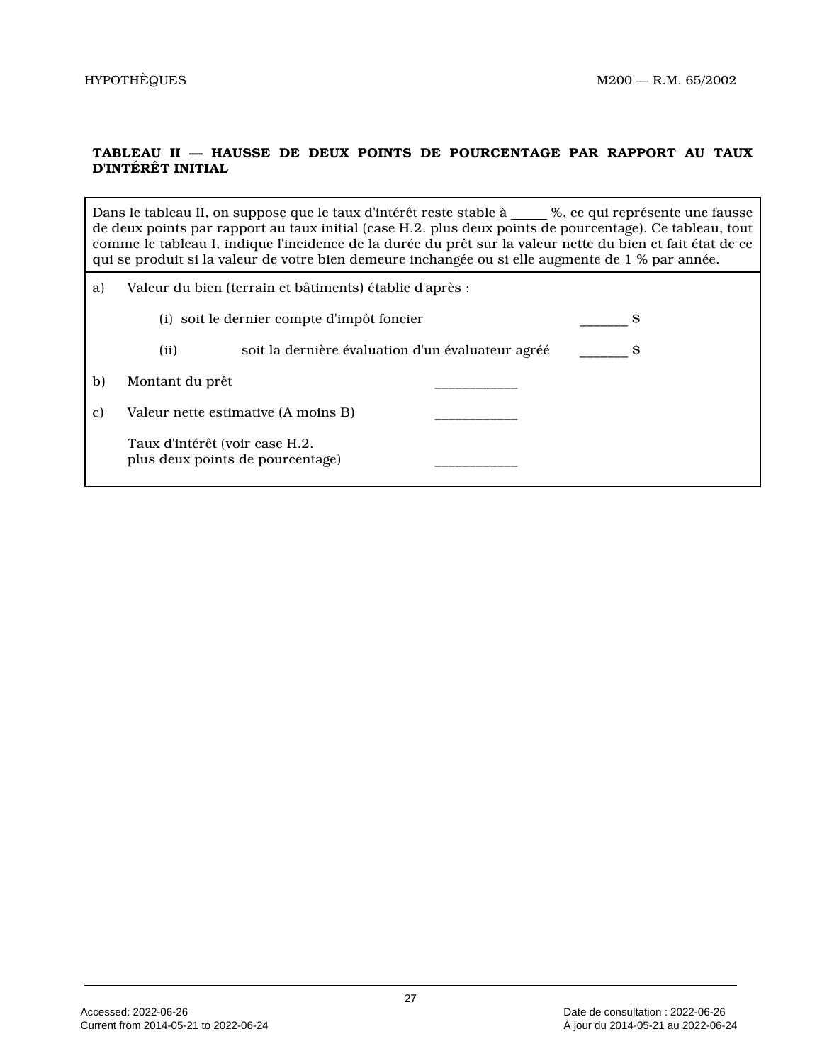# **TABLEAU II — HAUSSE DE DEUX POINTS DE POURCENTAGE PAR RAPPORT AU TAUX D'INTÉRÊT INITIAL**

|    | Dans le tableau II, on suppose que le taux d'intérêt reste stable à ____ %, ce qui représente une fausse<br>de deux points par rapport au taux initial (case H.2. plus deux points de pourcentage). Ce tableau, tout<br>comme le tableau I, indique l'incidence de la durée du prêt sur la valeur nette du bien et fait état de ce<br>qui se produit si la valeur de votre bien demeure inchangée ou si elle augmente de 1 % par année. |                                                   |  |  |  |
|----|-----------------------------------------------------------------------------------------------------------------------------------------------------------------------------------------------------------------------------------------------------------------------------------------------------------------------------------------------------------------------------------------------------------------------------------------|---------------------------------------------------|--|--|--|
| a) | Valeur du bien (terrain et bâtiments) établie d'après :                                                                                                                                                                                                                                                                                                                                                                                 |                                                   |  |  |  |
|    |                                                                                                                                                                                                                                                                                                                                                                                                                                         | (i) soit le dernier compte d'impôt foncier        |  |  |  |
|    | (ii)                                                                                                                                                                                                                                                                                                                                                                                                                                    | soit la dernière évaluation d'un évaluateur agréé |  |  |  |
| b) | Montant du prêt                                                                                                                                                                                                                                                                                                                                                                                                                         |                                                   |  |  |  |
| C) |                                                                                                                                                                                                                                                                                                                                                                                                                                         | Valeur nette estimative (A moins B)               |  |  |  |

Taux d'intérêt (voir case H.2. plus deux points de pourcentage) \_\_\_\_\_\_\_\_\_\_\_\_